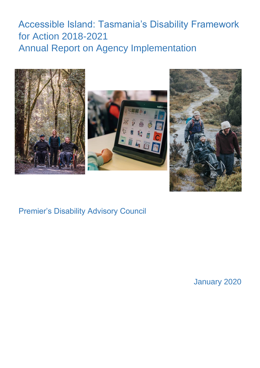# Accessible Island: Tasmania's Disability Framework for Action 2018-2021 Annual Report on Agency Implementation



# Premier's Disability Advisory Council

January 2020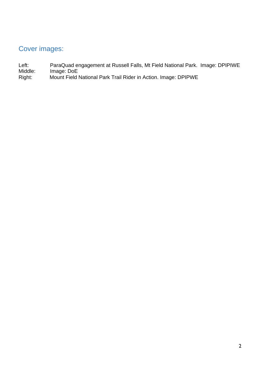# Cover images:

- Left: ParaQuad engagement at Russell Falls, Mt Field National Park. Image: DPIPIWE<br>Middle: Image: DoE Middle: Image: DoE<br>
Right: Mount Field
- Right: Mount Field National Park Trail Rider in Action. Image: DPIPWE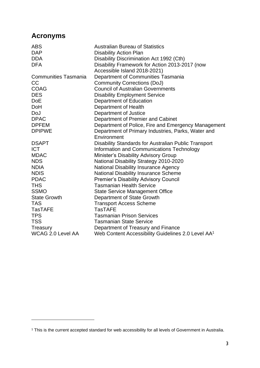# <span id="page-2-0"></span>**Acronyms**

| <b>ABS</b>                  | <b>Australian Bureau of Statistics</b>                         |
|-----------------------------|----------------------------------------------------------------|
| <b>DAP</b>                  | <b>Disability Action Plan</b>                                  |
| <b>DDA</b>                  | Disability Discrimination Act 1992 (Cth)                       |
| <b>DFA</b>                  | Disability Framework for Action 2013-2017 (now                 |
|                             | Accessible Island 2018-2021)                                   |
| <b>Communities Tasmania</b> | Department of Communities Tasmania                             |
| <b>CC</b>                   | <b>Community Corrections (DoJ)</b>                             |
| <b>COAG</b>                 | <b>Council of Australian Governments</b>                       |
| <b>DES</b>                  | <b>Disability Employment Service</b>                           |
| <b>DoE</b>                  | Department of Education                                        |
| <b>DoH</b>                  | Department of Health                                           |
| DoJ                         | Department of Justice                                          |
| <b>DPAC</b>                 | Department of Premier and Cabinet                              |
| <b>DPFEM</b>                | Department of Police, Fire and Emergency Management            |
| <b>DPIPWE</b>               | Department of Primary Industries, Parks, Water and             |
|                             | Environment                                                    |
| <b>DSAPT</b>                | Disability Standards for Australian Public Transport           |
| <b>ICT</b>                  | Information and Communications Technology                      |
| <b>MDAC</b>                 | Minister's Disability Advisory Group                           |
| <b>NDS</b>                  | <b>National Disability Strategy 2010-2020</b>                  |
| <b>NDIA</b>                 | <b>National Disability Insurance Agency</b>                    |
| <b>NDIS</b>                 | <b>National Disability Insurance Scheme</b>                    |
| <b>PDAC</b>                 | <b>Premier's Disability Advisory Council</b>                   |
| <b>THS</b>                  | <b>Tasmanian Health Service</b>                                |
| <b>SSMO</b>                 | <b>State Service Management Office</b>                         |
| <b>State Growth</b>         | Department of State Growth                                     |
| <b>TAS</b>                  | <b>Transport Access Scheme</b>                                 |
| <b>TasTAFE</b>              | <b>TasTAFE</b>                                                 |
| <b>TPS</b>                  | <b>Tasmanian Prison Services</b>                               |
| <b>TSS</b>                  | <b>Tasmanian State Service</b>                                 |
| Treasury                    | Department of Treasury and Finance                             |
| <b>WCAG 2.0 Level AA</b>    | Web Content Accessibility Guidelines 2.0 Level AA <sup>1</sup> |

<sup>1</sup> This is the current accepted standard for web accessibility for all levels of Government in Australia.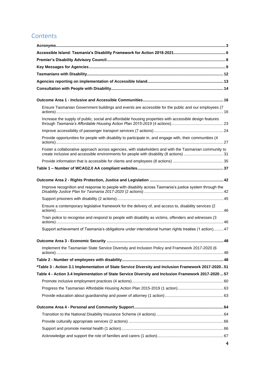# **Contents**

| Ensure Tasmanian Government buildings and events are accessible for the public and our employees (7                                                                                              |  |
|--------------------------------------------------------------------------------------------------------------------------------------------------------------------------------------------------|--|
|                                                                                                                                                                                                  |  |
| Increase the supply of public, social and affordable housing properties with accessible design features                                                                                          |  |
|                                                                                                                                                                                                  |  |
| Provide opportunities for people with disability to participate in, and engage with, their communities (4                                                                                        |  |
| Foster a collaborative approach across agencies, with stakeholders and with the Tasmanian community to<br>create inclusive and accessible environments for people with disability (8 actions) 31 |  |
|                                                                                                                                                                                                  |  |
|                                                                                                                                                                                                  |  |
|                                                                                                                                                                                                  |  |
|                                                                                                                                                                                                  |  |
| Improve recognition and response to people with disability across Tasmania's justice system through the                                                                                          |  |
|                                                                                                                                                                                                  |  |
| Ensure a contemporary legislative framework for the delivery of, and access to, disability services (2                                                                                           |  |
| Train police to recognise and respond to people with disability as victims, offenders and witnesses (3                                                                                           |  |
| Support achievement of Tasmania's obligations under international human rights treaties (1 action) 47                                                                                            |  |
|                                                                                                                                                                                                  |  |
| Implement the Tasmanian State Service Diversity and Inclusion Policy and Framework 2017-2020 (6                                                                                                  |  |
|                                                                                                                                                                                                  |  |
|                                                                                                                                                                                                  |  |
| *Table 3 - Action 3.1 Implementation of State Service Diversity and Inclusion Framework 2017-2020 51                                                                                             |  |
| Table 4 - Action 3.4 Implementation of State Service Diversity and Inclusion Framework 2017-2020  57                                                                                             |  |
|                                                                                                                                                                                                  |  |
|                                                                                                                                                                                                  |  |
|                                                                                                                                                                                                  |  |
|                                                                                                                                                                                                  |  |
|                                                                                                                                                                                                  |  |
|                                                                                                                                                                                                  |  |
|                                                                                                                                                                                                  |  |
|                                                                                                                                                                                                  |  |
|                                                                                                                                                                                                  |  |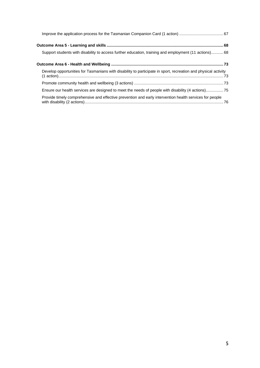| Support students with disability to access further education, training and employment (11 actions)68           |  |
|----------------------------------------------------------------------------------------------------------------|--|
|                                                                                                                |  |
| Develop opportunities for Tasmanians with disability to participate in sport, recreation and physical activity |  |
|                                                                                                                |  |
| Ensure our health services are designed to meet the needs of people with disability (4 actions)75              |  |
| Provide timely comprehensive and effective prevention and early intervention health services for people        |  |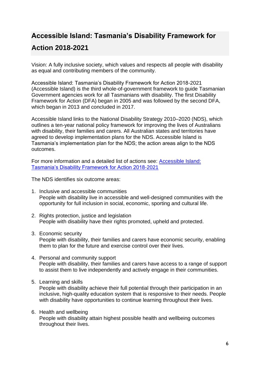# <span id="page-5-0"></span>**Accessible Island: Tasmania's Disability Framework for**

# **Action 2018-2021**

Vision: A fully inclusive society, which values and respects all people with disability as equal and contributing members of the community.

Accessible Island: Tasmania's Disability Framework for Action 2018-2021 (Accessible Island) is the third whole-of-government framework to guide Tasmanian Government agencies work for all Tasmanians with disability. The first Disability Framework for Action (DFA) began in 2005 and was followed by the second DFA, which began in 2013 and concluded in 2017.

Accessible Island links to the National Disability Strategy 2010–2020 (NDS), which outlines a ten-year national policy framework for improving the lives of Australians with disability, their families and carers. All Australian states and territories have agreed to develop implementation plans for the NDS. Accessible Island is Tasmania's implementation plan for the NDS; the action areas align to the NDS outcomes.

For more information and a detailed list of actions see: [Accessible Island:](http://www.dpac.tas.gov.au/divisions/csr/policy/Policy_Work/accessible_island_tasmanias_disability_framework_for_action_2018-2021_dfa)  [Tasmania's Disability Framework for Action 2018-2021](http://www.dpac.tas.gov.au/divisions/csr/policy/Policy_Work/accessible_island_tasmanias_disability_framework_for_action_2018-2021_dfa)

The NDS identifies six outcome areas:

- 1. Inclusive and accessible communities People with disability live in accessible and well-designed communities with the opportunity for full inclusion in social, economic, sporting and cultural life.
- 2. Rights protection, justice and legislation People with disability have their rights promoted, upheld and protected.
- 3. Economic security People with disability, their families and carers have economic security, enabling them to plan for the future and exercise control over their lives.
- 4. Personal and community support People with disability, their families and carers have access to a range of support to assist them to live independently and actively engage in their communities.
- 5. Learning and skills People with disability achieve their full potential through their participation in an inclusive, high-quality education system that is responsive to their needs. People with disability have opportunities to continue learning throughout their lives.
- 6. Health and wellbeing People with disability attain highest possible health and wellbeing outcomes throughout their lives.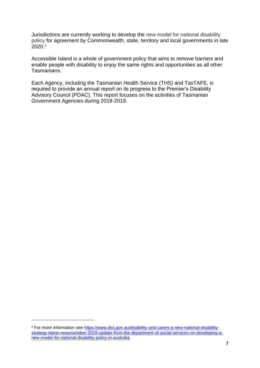Jurisdictions are currently working to develop the new model for national disability policy for agreement by Commonwealth, state, territory and local governments in late 2020.<sup>2</sup>

Accessible Island is a whole of government policy that aims to remove barriers and enable people with disability to enjoy the same rights and opportunities as all other Tasmanians.

Each Agency, including the Tasmanian Health Service (THS) and TasTAFE, is required to provide an annual report on its progress to the Premier's Disability Advisory Council (PDAC). This report focuses on the activities of Tasmanian Government Agencies during 2018-2019.

<sup>2</sup> For more information see [https://www.dss.gov.au/disability-and-carers-a-new-national-disability](https://www.dss.gov.au/disability-and-carers-a-new-national-disability-strategy-latest-news/october-2019-update-from-the-department-of-social-services-on-developing-a-new-model-for-national-disability-policy-in-australia)[strategy-latest-news/october-2019-update-from-the-department-of-social-services-on-developing-a](https://www.dss.gov.au/disability-and-carers-a-new-national-disability-strategy-latest-news/october-2019-update-from-the-department-of-social-services-on-developing-a-new-model-for-national-disability-policy-in-australia)[new-model-for-national-disability-policy-in-australia](https://www.dss.gov.au/disability-and-carers-a-new-national-disability-strategy-latest-news/october-2019-update-from-the-department-of-social-services-on-developing-a-new-model-for-national-disability-policy-in-australia)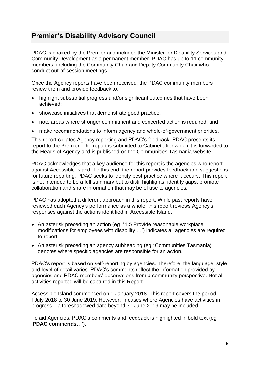# <span id="page-7-0"></span>**Premier's Disability Advisory Council**

PDAC is chaired by the Premier and includes the Minister for Disability Services and Community Development as a permanent member. PDAC has up to 11 community members, including the Community Chair and Deputy Community Chair who conduct out-of-session meetings.

Once the Agency reports have been received, the PDAC community members review them and provide feedback to:

- highlight substantial progress and/or significant outcomes that have been achieved;
- showcase initiatives that demonstrate good practice;
- note areas where stronger commitment and concerted action is required; and
- make recommendations to inform agency and whole-of-government priorities.

This report collates Agency reporting and PDAC's feedback. PDAC presents its report to the Premier. The report is submitted to Cabinet after which it is forwarded to the Heads of Agency and is published on the Communities Tasmania website.

PDAC acknowledges that a key audience for this report is the agencies who report against Accessible Island. To this end, the report provides feedback and suggestions for future reporting. PDAC seeks to identify best practice where it occurs. This report is not intended to be a full summary but to distil highlights, identify gaps, promote collaboration and share information that may be of use to agencies.

PDAC has adopted a different approach in this report. While past reports have reviewed each Agency's performance as a whole; this report reviews Agency's responses against the actions identified in Accessible Island.

- An asterisk preceding an action (eg '\*1.5 Provide reasonable workplace modifications for employees with disability …') indicates all agencies are required to report.
- An asterisk preceding an agency subheading (eg \*Communities Tasmania) denotes where specific agencies are responsible for an action.

PDAC's report is based on self-reporting by agencies. Therefore, the language, style and level of detail varies. PDAC's comments reflect the information provided by agencies and PDAC members' observations from a community perspective. Not all activities reported will be captured in this Report.

Accessible Island commenced on 1 January 2018. This report covers the period I July 2018 to 30 June 2019. However, in cases where Agencies have activities in progress – a foreshadowed date beyond 30 June 2019 may be included.

To aid Agencies, PDAC's comments and feedback is highlighted in bold text (eg '**PDAC commends**…').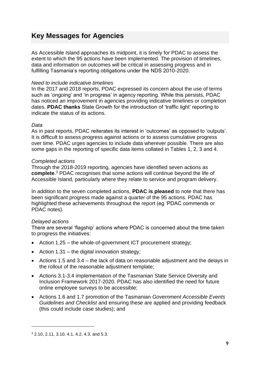# <span id="page-8-0"></span>**Key Messages for Agencies**

As Accessible Island approaches its midpoint, it is timely for PDAC to assess the extent to which the 95 actions have been implemented. The provision of timelines, data and information on outcomes will be critical in assessing progress and in fulfilling Tasmania's reporting obligations under the NDS 2010-2020.

#### *Need to include indicative timelines*

In the 2017 and 2018 reports, PDAC expressed its concern about the use of terms such as 'ongoing' and 'in progress' in agency reporting. While this persists, PDAC has noticed an improvement in agencies providing indicative timelines or completion dates. **PDAC thanks** State Growth for the introduction of 'traffic light' reporting to indicate the status of its actions.

#### *Data*

As in past reports, PDAC reiterates its interest in 'outcomes' as opposed to 'outputs'. It is difficult to assess progress against actions or to assess cumulative progress over time. PDAC urges agencies to include data wherever possible. There are also some gaps in the reporting of specific data items collated in Tables 1, 2, 3 and 4.

#### *Completed actions*

Through the 2018-2019 reporting, agencies have identified seven actions as **complete**. <sup>3</sup> PDAC recognises that some actions will continue beyond the life of Accessible Island, particularly where they relate to service and program delivery.

In addition to the seven completed actions, **PDAC is pleased** to note that there has been significant progress made against a quarter of the 95 actions. PDAC has highlighted these achievements throughout the report (eg 'PDAC commends or PDAC notes).

#### *Delayed actions*

There are several 'flagship' actions where PDAC is concerned about the time taken to progress the initiatives:

- Action 1.25 the whole-of-government ICT procurement strategy;
- Action  $1.31$  the digital innovation strategy;
- Actions 1.5 and 3.4 the lack of data on reasonable adjustment and the delays in the rollout of the reasonable adjustment template;
- Actions 3.1-3.4 implementation of the Tasmanian State Service Diversity and Inclusion Framework 2017-2020. PDAC has also identified the need for future online employee surveys to be accessible;
- Actions 1.6 and 1.7 promotion of the Tasmanian *Government Accessible Events Guidelines and Checklist* and ensuring these are applied and providing feedback (this could include case studies); and

<sup>3</sup> 2.10, 2.11, 3.10, 4.1, 4.2, 4.3, and 5.3.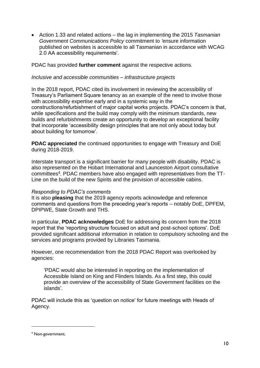• Action 1.33 and related actions – the lag in implementing the 2015 *Tasmanian Government Communications Policy* commitment to *'*ensure information published on websites is accessible to all Tasmanian in accordance with WCAG 2.0 AA accessibility requirements'.

PDAC has provided **further comment** against the respective actions.

#### *Inclusive and accessible communities – infrastructure projects*

In the 2018 report, PDAC cited its involvement in reviewing the accessibility of Treasury's Parliament Square tenancy as an example of the need to involve those with accessibility expertise early and in a systemic way in the constructions/refurbishment of major capital works projects. PDAC's concern is that, while specifications and the build may comply with the minimum standards, new builds and refurbishments create an opportunity to develop an exceptional facility that incorporate 'accessibility design principles that are not only about today but about building for tomorrow'.

**PDAC appreciated** the continued opportunities to engage with Treasury and DoE during 2018-2019.

Interstate transport is a significant barrier for many people with disability. PDAC is also represented on the Hobart International and Launceston Airport consultative committees<sup>4</sup>. PDAC members have also engaged with representatives from the TT-Line on the build of the new Spirits and the provision of accessible cabins.

#### *Responding to PDAC's comments*

It is also **pleasing** that the 2019 agency reports acknowledge and reference comments and questions from the preceding year's reports – notably DoE, DPFEM, DPIPWE, State Growth and THS.

In particular, **PDAC acknowledges** DoE for addressing its concern from the 2018 report that the 'reporting structure focused on adult and post-school options'. DoE provided significant additional information in relation to compulsory schooling and the services and programs provided by Libraries Tasmania.

However, one recommendation from the 2018 PDAC Report was overlooked by agencies:

'PDAC would also be interested in reporting on the implementation of Accessible Island on King and Flinders Islands. As a first step, this could provide an overview of the accessibility of State Government facilities on the islands'.

PDAC will include this as 'question on notice' for future meetings with Heads of Agency.

<sup>4</sup> Non-government.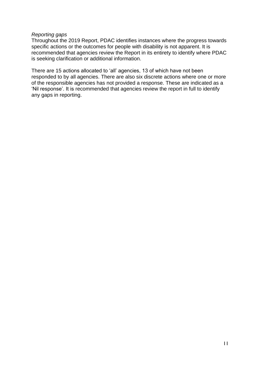#### *Reporting gaps*

Throughout the 2019 Report, PDAC identifies instances where the progress towards specific actions or the outcomes for people with disability is not apparent. It is recommended that agencies review the Report in its entirety to identify where PDAC is seeking clarification or additional information.

There are 15 actions allocated to 'all' agencies, 13 of which have not been responded to by all agencies. There are also six discrete actions where one or more of the responsible agencies has not provided a response. These are indicated as a 'Nil response'. It is recommended that agencies review the report in full to identify any gaps in reporting.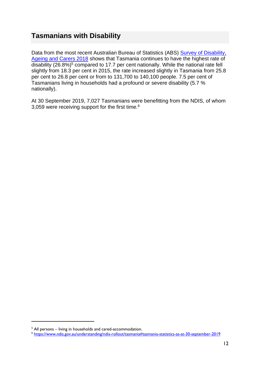# <span id="page-11-0"></span>**Tasmanians with Disability**

Data from the most recent Australian Bureau of Statistics (ABS) [Survey of Disability,](https://www.abs.gov.au/ausstats/abs@.nsf/mf/4430.0)  [Ageing and Carers 2018](https://www.abs.gov.au/ausstats/abs@.nsf/mf/4430.0) shows that Tasmania continues to have the highest rate of disability (26.8%) <sup>5</sup> compared to 17.7 per cent nationally. While the national rate fell slightly from 18.3 per cent in 2015, the rate increased slightly in Tasmania from 25.8 per cent to 26.8 per cent or from to 131,700 to 140,100 people. 7.5 per cent of Tasmanians living in households had a profound or severe disability (5.7 % nationally).

At 30 September 2019, 7,027 Tasmanians were benefitting from the NDIS, of whom 3,059 were receiving support for the first time.<sup>6</sup>

 $<sup>5</sup>$  All persons – living in households and cared-accommodation.</sup>

<sup>6</sup> <https://www.ndis.gov.au/understanding/ndis-rollout/tasmania#tasmania-statistics-as-at-30-september-2019>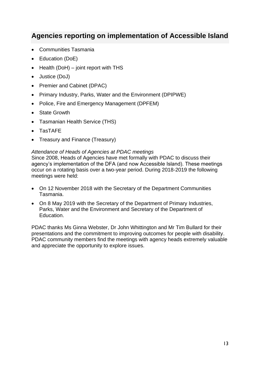# <span id="page-12-0"></span>**Agencies reporting on implementation of Accessible Island**

- Communities Tasmania
- Education (DoE)
- Health (DoH) joint report with THS
- Justice (DoJ)
- Premier and Cabinet (DPAC)
- Primary Industry, Parks, Water and the Environment (DPIPWE)
- Police, Fire and Emergency Management (DPFEM)
- State Growth
- Tasmanian Health Service (THS)
- TasTAFE
- Treasury and Finance (Treasury)

#### *Attendance of Heads of Agencies at PDAC meetings*

Since 2008, Heads of Agencies have met formally with PDAC to discuss their agency's implementation of the DFA (and now Accessible Island). These meetings occur on a rotating basis over a two-year period. During 2018-2019 the following meetings were held:

- On 12 November 2018 with the Secretary of the Department Communities Tasmania.
- On 8 May 2019 with the Secretary of the Department of Primary Industries, Parks, Water and the Environment and Secretary of the Department of Education.

PDAC thanks Ms Ginna Webster, Dr John Whittington and Mr Tim Bullard for their presentations and the commitment to improving outcomes for people with disability. PDAC community members find the meetings with agency heads extremely valuable and appreciate the opportunity to explore issues.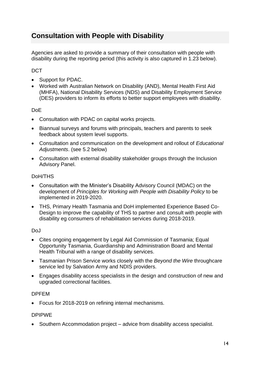# <span id="page-13-0"></span>**Consultation with People with Disability**

Agencies are asked to provide a summary of their consultation with people with disability during the reporting period (this activity is also captured in 1.23 below).

# DCT

- Support for PDAC.
- Worked with Australian Network on Disability (AND), Mental Health First Aid (MHFA), National Disability Services (NDS) and Disability Employment Service (DES) providers to inform its efforts to better support employees with disability.

# DoE

- Consultation with PDAC on capital works projects.
- Biannual surveys and forums with principals, teachers and parents to seek feedback about system level supports.
- Consultation and communication on the development and rollout of *Educational Adjustments*. (see 5.2 below)
- Consultation with external disability stakeholder groups through the Inclusion Advisory Panel.

#### DoH/THS

- Consultation with the Minister's Disability Advisory Council (MDAC) on the development of *Principles for Working with People with Disability Policy* to be implemented in 2019-2020.
- THS, Primary Health Tasmania and DoH implemented Experience Based Co-Design to improve the capability of THS to partner and consult with people with disability eg consumers of rehabilitation services during 2018-2019.

#### DoJ

- Cites ongoing engagement by Legal Aid Commission of Tasmania; Equal Opportunity Tasmania, Guardianship and Administration Board and Mental Health Tribunal with a range of disability services.
- Tasmanian Prison Service works closely with the *Beyond the Wire* throughcare service led by Salvation Army and NDIS providers.
- Engages disability access specialists in the design and construction of new and upgraded correctional facilities.

#### DPFEM

• Focus for 2018-2019 on refining internal mechanisms.

#### DPIPWE

• Southern Accommodation project – advice from disability access specialist.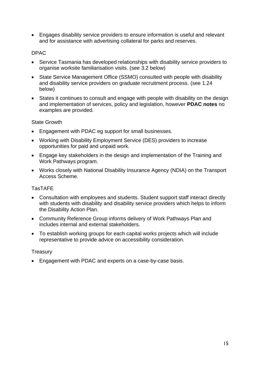• Engages disability service providers to ensure information is useful and relevant and for assistance with advertising collateral for parks and reserves.

#### DPAC

- Service Tasmania has developed relationships with disability service providers to organise worksite familiarisation visits. (see 3.2 below)
- State Service Management Office (SSMO) consulted with people with disability and disability service providers on graduate recruitment process. (see 1.24 below)
- States it continues to consult and engage with people with disability on the design and implementation of services, policy and legislation, however **PDAC notes** no examples are provided.

#### State Growth

- Engagement with PDAC eg support for small businesses.
- Working with Disability Employment Service (DES) providers to increase opportunities for paid and unpaid work.
- Engage key stakeholders in the design and implementation of the Training and Work Pathways program.
- Works closely with National Disability Insurance Agency (NDIA) on the Transport Access Scheme.

#### TasTAFE

- Consultation with employees and students. Student support staff interact directly with students with disability and disability service providers which helps to inform the Disability Action Plan.
- Community Reference Group informs delivery of Work Pathways Plan and includes internal and external stakeholders.
- To establish working groups for each capital works projects which will include representative to provide advice on accessibility consideration.

#### **Treasury**

• Engagement with PDAC and experts on a case-by-case basis.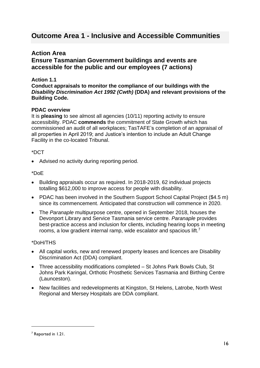# <span id="page-15-0"></span>**Outcome Area 1 - Inclusive and Accessible Communities**

# **Action Area**

# <span id="page-15-1"></span>**Ensure Tasmanian Government buildings and events are accessible for the public and our employees (7 actions)**

#### **Action 1.1**

**Conduct appraisals to monitor the compliance of our buildings with the**  *Disability Discrimination Act 1992 (Cwth)* **(DDA) and relevant provisions of the Building Code.**

#### **PDAC overview**

It is **pleasing** to see almost all agencies (10/11) reporting activity to ensure accessibility. PDAC **commends** the commitment of State Growth which has commissioned an audit of all workplaces; TasTAFE's completion of an appraisal of all properties in April 2019; and Justice's intention to include an Adult Change Facility in the co-located Tribunal.

#### \*DCT

• Advised no activity during reporting period.

#### \*DoE

- Building appraisals occur as required. In 2018-2019, 62 individual projects totalling \$612,000 to improve access for people with disability.
- PDAC has been involved in the Southern Support School Capital Project (\$4.5 m) since its commencement. Anticipated that construction will commence in 2020.
- The *Paranaple* multipurpose centre, opened in September 2018, houses the Devonport Library and Service Tasmania service centre. *Paranaple* provides best-practice access and inclusion for clients, including hearing loops in meeting rooms, a low gradient internal ramp, wide escalator and spacious lift.<sup>7</sup>

#### \*DoH/THS

- All capital works, new and renewed property leases and licences are Disability Discrimination Act (DDA) compliant.
- Three accessibility modifications completed St Johns Park Bowls Club, St Johns Park Karingal, Orthotic Prosthetic Services Tasmania and Birthing Centre (Launceston).
- New facilities and redevelopments at Kingston, St Helens, Latrobe, North West Regional and Mersey Hospitals are DDA compliant.

<sup>7</sup> Reported in 1.21.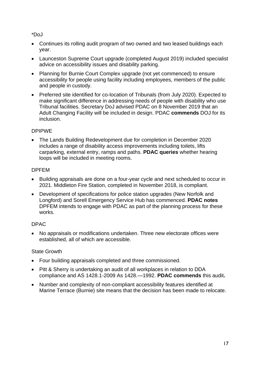\*DoJ

- Continues its rolling audit program of two owned and two leased buildings each year.
- Launceston Supreme Court upgrade (completed August 2019) included specialist advice on accessibility issues and disability parking.
- Planning for Burnie Court Complex upgrade (not yet commenced) to ensure accessibility for people using facility including employees, members of the public and people in custody.
- Preferred site identified for co-location of Tribunals (from July 2020). Expected to make significant difference in addressing needs of people with disability who use Tribunal facilities. Secretary DoJ advised PDAC on 8 November 2019 that an Adult Changing Facility will be included in design. PDAC **commends** DOJ for its inclusion.

# DPIPWE

• The Lands Building Redevelopment due for completion in December 2020 includes a range of disability access improvements including toilets, lifts carparking, external entry, ramps and paths. **PDAC queries** whether hearing loops will be included in meeting rooms.

# DPFEM

- Building appraisals are done on a four-year cycle and next scheduled to occur in 2021. Middleton Fire Station, completed in November 2018, is compliant.
- Development of specifications for police station upgrades (New Norfolk and Longford) and Sorell Emergency Service Hub has commenced. **PDAC notes** DPFEM intends to engage with PDAC as part of the planning process for these works.

# DPAC

• No appraisals or modifications undertaken. Three new electorate offices were established, all of which are accessible.

# State Growth

- Four building appraisals completed and three commissioned.
- Pitt & Sherry is undertaking an audit of all workplaces in relation to DDA compliance and AS 1428.1-2009 As 1428.—1992. **PDAC commends** this audit**.**
- Number and complexity of non-compliant accessibility features identified at Marine Terrace (Burnie) site means that the decision has been made to relocate.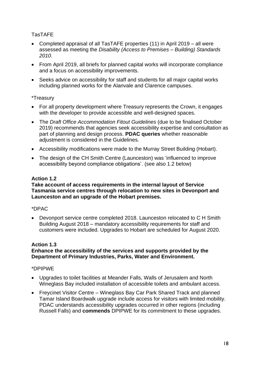# TasTAFE

- Completed appraisal of all TasTAFE properties (11) in April 2019 all were assessed as meeting the *Disability (Access to Premises – Building) Standards 2010*.
- From April 2019, all briefs for planned capital works will incorporate compliance and a focus on accessibility improvements.
- Seeks advice on accessibility for staff and students for all major capital works including planned works for the Alanvale and Clarence campuses.

#### \*Treasury

- For all property development where Treasury represents the Crown, it engages with the developer to provide accessible and well-designed spaces.
- The *Draft Office Accommodation Fitout Guidelines* (due to be finalised October 2019) recommends that agencies seek accessibility expertise and consultation as part of planning and design process. **PDAC queries** whether reasonable adjustment is considered in the Guidelines.
- Accessibility modifications were made to the Murray Street Building (Hobart).
- The design of the CH Smith Centre (Launceston) was 'influenced to improve accessibility beyond compliance obligations'. (see also 1.2 below)

#### **Action 1.2**

#### **Take account of access requirements in the internal layout of Service Tasmania service centres through relocation to new sites in Devonport and Launceston and an upgrade of the Hobart premises.**

#### \*DPAC

• Devonport service centre completed 2018. Launceston relocated to C H Smith Building August 2018 – mandatory accessibility requirements for staff and customers were included. Upgrades to Hobart are scheduled for August 2020.

#### **Action 1.3**

#### **Enhance the accessibility of the services and supports provided by the Department of Primary Industries, Parks, Water and Environment.**

#### \*DPIPWE

- Upgrades to toilet facilities at Meander Falls, Walls of Jerusalem and North Wineglass Bay included installation of accessible toilets and ambulant access.
- Freycinet Visitor Centre Wineglass Bay Car Park Shared Track and planned Tamar Island Boardwalk upgrade include access for visitors with limited mobility. PDAC understands accessibility upgrades occurred in other regions (including Russell Falls) and **commends** DPIPWE for its commitment to these upgrades.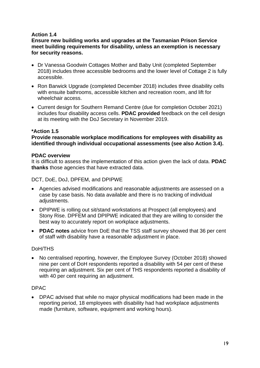**Ensure new building works and upgrades at the Tasmanian Prison Service meet building requirements for disability, unless an exemption is necessary for security reasons.**

- Dr Vanessa Goodwin Cottages Mother and Baby Unit (completed September 2018) includes three accessible bedrooms and the lower level of Cottage 2 is fully accessible.
- Ron Barwick Upgrade (completed December 2018) includes three disability cells with ensuite bathrooms, accessible kitchen and recreation room, and lift for wheelchair access.
- Current design for Southern Remand Centre (due for completion October 2021) includes four disability access cells. **PDAC provided** feedback on the cell design at its meeting with the DoJ Secretary in November 2019.

#### **\*Action 1.5**

**Provide reasonable workplace modifications for employees with disability as identified through individual occupational assessments (see also Action 3.4).**

#### **PDAC overview**

It is difficult to assess the implementation of this action given the lack of data. **PDAC thanks** those agencies that have extracted data.

DCT, DoE, DoJ, DPFEM, and DPIPWE

- Agencies advised modifications and reasonable adjustments are assessed on a case by case basis. No data available and there is no tracking of individual adjustments.
- DPIPWE is rolling out sit/stand workstations at Prospect (all employees) and Stony Rise. DPFEM and DPIPWE indicated that they are willing to consider the best way to accurately report on workplace adjustments.
- **PDAC notes** advice from DoE that the TSS staff survey showed that 36 per cent of staff with disability have a reasonable adjustment in place.

#### DoH/THS

• No centralised reporting, however, the Employee Survey (October 2018) showed nine per cent of DoH respondents reported a disability with 54 per cent of these requiring an adjustment. Six per cent of THS respondents reported a disability of with 40 per cent requiring an adjustment.

#### DPAC

• DPAC advised that while no major physical modifications had been made in the reporting period, 18 employees with disability had had workplace adjustments made (furniture, software, equipment and working hours).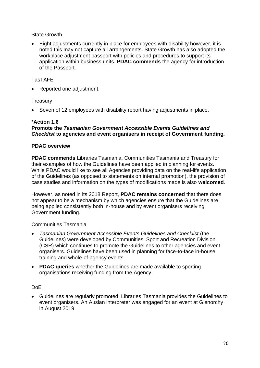#### State Growth

• Eight adjustments currently in place for employees with disability however, it is noted this may not capture all arrangements. State Growth has also adopted the workplace adjustment passport with policies and procedures to support its application within business units. **PDAC commends** the agency for introduction of the Passport.

#### TasTAFE

• Reported one adjustment.

#### **Treasury**

Seven of 12 employees with disability report having adjustments in place.

#### **\*Action 1.6**

#### **Promote the** *Tasmanian Government Accessible Events Guidelines and Checklist* **to agencies and event organisers in receipt of Government funding***.*

#### **PDAC overview**

**PDAC commends** Libraries Tasmania, Communities Tasmania and Treasury for their examples of how the Guidelines have been applied in planning for events. While PDAC would like to see all Agencies providing data on the real-life application of the Guidelines (as opposed to statements on internal promotion), the provision of case studies and information on the types of modifications made is also **welcomed**.

However, as noted in its 2018 Report, **PDAC remains concerned** that there does not appear to be a mechanism by which agencies ensure that the Guidelines are being applied consistently both in-house and by event organisers receiving Government funding.

#### Communities Tasmania

- *Tasmanian Government Accessible Events Guidelines and Checklist* (the Guidelines) were developed by Communities, Sport and Recreation Division (CSR) which continues to promote the Guidelines to other agencies and event organisers. Guidelines have been used in planning for face-to-face in-house training and whole-of-agency events.
- **PDAC queries** whether the Guidelines are made available to sporting organisations receiving funding from the Agency.

#### DoE

• Guidelines are regularly promoted. Libraries Tasmania provides the Guidelines to event organisers. An Auslan interpreter was engaged for an event at Glenorchy in August 2019.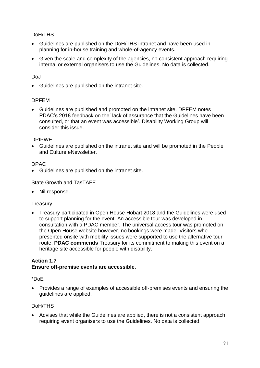### DoH/THS

- Guidelines are published on the DoH/THS intranet and have been used in planning for in-house training and whole-of-agency events.
- Given the scale and complexity of the agencies, no consistent approach requiring internal or external organisers to use the Guidelines. No data is collected.

### DoJ

• Guidelines are published on the intranet site.

#### DPFEM

• Guidelines are published and promoted on the intranet site. DPFEM notes PDAC's 2018 feedback on the' lack of assurance that the Guidelines have been consulted, or that an event was accessible'. Disability Working Group will consider this issue.

#### DPIPWE

• Guidelines are published on the intranet site and will be promoted in the People and Culture eNewsletter.

#### DPAC

• Guidelines are published on the intranet site.

#### State Growth and TasTAFE

• Nil response.

#### **Treasury**

• Treasury participated in Open House Hobart 2018 and the Guidelines were used to support planning for the event. An accessible tour was developed in consultation with a PDAC member. The universal access tour was promoted on the Open House website however, no bookings were made. Visitors who presented onsite with mobility issues were supported to use the alternative tour route. **PDAC commends** Treasury for its commitment to making this event on a heritage site accessible for people with disability.

# **Action 1.7**

#### **Ensure off-premise events are accessible.**

#### \*DoE

• Provides a range of examples of accessible off-premises events and ensuring the guidelines are applied.

#### DoH/THS

• Advises that while the Guidelines are applied, there is not a consistent approach requiring event organisers to use the Guidelines. No data is collected.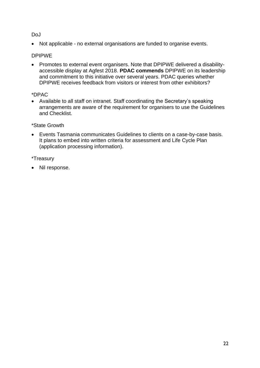# DoJ

• Not applicable - no external organisations are funded to organise events.

# DPIPWE

• Promotes to external event organisers. Note that DPIPWE delivered a disabilityaccessible display at Agfest 2018. **PDAC commends** DPIPWE on its leadership and commitment to this initiative over several years. PDAC queries whether DPIPWE receives feedback from visitors or interest from other exhibitors?

### \*DPAC

• Available to all staff on intranet. Staff coordinating the Secretary's speaking arrangements are aware of the requirement for organisers to use the Guidelines and Checklist.

#### \*State Growth

• Events Tasmania communicates Guidelines to clients on a case-by-case basis. It plans to embed into written criteria for assessment and Life Cycle Plan (application processing information).

# \*Treasury

• Nil response.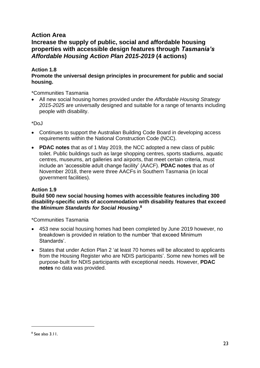# **Action Area**

<span id="page-22-0"></span>**Increase the supply of public, social and affordable housing properties with accessible design features through** *Tasmania's Affordable Housing Action Plan 2015-2019* **(4 actions)**

### **Action 1.8**

**Promote the universal design principles in procurement for public and social housing.**

\*Communities Tasmania

• All new social housing homes provided under the *Affordable Housing Strategy 2015-2025* are universally designed and suitable for a range of tenants including people with disability.

\*DoJ

- Continues to support the Australian Building Code Board in developing access requirements within the National Construction Code (NCC).
- **PDAC notes** that as of 1 May 2019, the NCC adopted a new class of public toilet. Public buildings such as large shopping centres, sports stadiums, aquatic centres, museums, art galleries and airports, that meet certain criteria, must include an 'accessible adult change facility' (AACF). **PDAC notes** that as of November 2018, there were three AACFs in Southern Tasmania (in local government facilities).

#### **Action 1.9**

**Build 500 new social housing homes with accessible features including 300 disability-specific units of accommodation with disability features that exceed the** *Minimum Standards for Social Housing***. 8**

\*Communities Tasmania

- 453 new social housing homes had been completed by June 2019 however, no breakdown is provided in relation to the number 'that exceed Minimum Standards'.
- States that under Action Plan 2 'at least 70 homes will be allocated to applicants from the Housing Register who are NDIS participants'. Some new homes will be purpose-built for NDIS participants with exceptional needs. However, **PDAC notes** no data was provided.

<sup>8</sup> See also 3.11.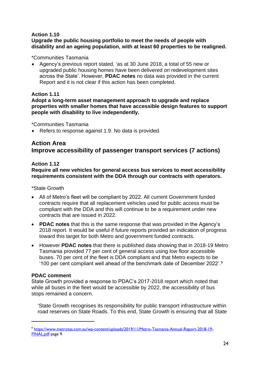#### **Upgrade the public housing portfolio to meet the needs of people with disability and an ageing population, with at least 60 properties to be realigned.**

#### \*Communities Tasmania

• Agency's previous report stated, 'as at 30 June 2018, a total of 55 new or upgraded public housing homes have been delivered on redevelopment sites across the State'. However, **PDAC notes** no data was provided in the current Report and it is not clear if this action has been completed.

#### **Action 1.11**

**Adopt a long-term asset management approach to upgrade and replace properties with smaller homes that have accessible design features to support people with disability to live independently.**

\*Communities Tasmania

• Refers to response against 1.9. No data is provided.

# <span id="page-23-0"></span>**Action Area Improve accessibility of passenger transport services (7 actions)**

#### **Action 1.12**

**Require all new vehicles for general access bus services to meet accessibility requirements consistent with the DDA through our contracts with operators.**

\*State Growth

- All of Metro's fleet will be compliant by 2022. All current Government funded contracts require that all replacement vehicles used for public access must be compliant with the DDA and this will continue to be a requirement under new contracts that are issued in 2022.
- **PDAC notes** that this is the same response that was provided in the Agency's 2018 report. It would be useful if future reports provided an indication of progress toward this target for both Metro and government funded contracts.
- However **PDAC notes** that there is published data showing that in 2018-19 Metro Tasmania provided 77 per cent of general access using low floor accessible buses. 70 per cent of the fleet is DDA compliant and that Metro expects to be '100 per cent compliant well ahead of the benchmark date of December 2022'. 9

#### **PDAC comment**

State Growth provided a response to PDAC's 2017-2018 report which noted that while all buses in the fleet would be accessible by 2022, the accessibility of bus stops remained a concern.

'State Growth recognises its responsibility for public transport infrastructure within road reserves on State Roads. To this end, State Growth is ensuring that all State

<sup>9</sup> [https://www.metrotas.com.au/wp-content/uploads/2019/11/Metro-Tasmania-Annual-Report-2018-19-](https://www.metrotas.com.au/wp-content/uploads/2019/11/Metro-Tasmania-Annual-Report-2018-19-FINAL.pdf) [FINAL.pdf](https://www.metrotas.com.au/wp-content/uploads/2019/11/Metro-Tasmania-Annual-Report-2018-19-FINAL.pdf) page 9.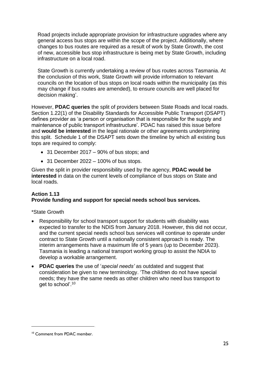Road projects include appropriate provision for infrastructure upgrades where any general access bus stops are within the scope of the project. Additionally, where changes to bus routes are required as a result of work by State Growth, the cost of new, accessible bus stop infrastructure is being met by State Growth, including infrastructure on a local road.

State Growth is currently undertaking a review of bus routes across Tasmania. At the conclusion of this work, State Growth will provide information to relevant councils on the location of bus stops on local roads within the municipality (as this may change if bus routes are amended), to ensure councils are well placed for decision making'.

However, **PDAC queries** the split of providers between State Roads and local roads. Section 1.22(1) of the Disability Standards for Accessible Public Transport (DSAPT) defines provider as 'a person or organisation that is responsible for the supply and maintenance of public transport infrastructure'. PDAC has raised this issue before and **would be interested** in the legal rationale or other agreements underpinning this split. Schedule 1 of the DSAPT sets down the timeline by which all existing bus tops are required to comply:

- 31 December 2017 90% of bus stops; and
- 31 December 2022 100% of bus stops.

Given the split in provider responsibility used by the agency, **PDAC would be interested** in data on the current levels of compliance of bus stops on State and local roads.

#### **Action 1.13 Provide funding and support for special needs school bus services.**

#### \*State Growth

- Responsibility for school transport support for students with disability was expected to transfer to the NDIS from January 2018. However, this did not occur, and the current special needs school bus services will continue to operate under contract to State Growth until a nationally consistent approach is ready. The interim arrangements have a maximum life of 5 years (up to December 2023). Tasmania is leading a national transport working group to assist the NDIA to develop a workable arrangement.
- **PDAC queries** the use of '*special needs'* as outdated and suggest that consideration be given to new terminology. 'The children do not have special needs; they have the same needs as other children who need bus transport to get to school'.<sup>10</sup>

<sup>&</sup>lt;sup>10</sup> Comment from PDAC member.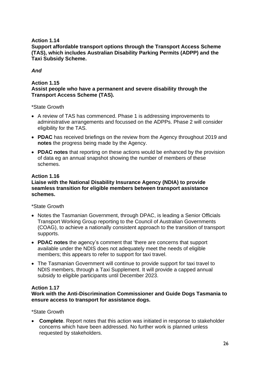**Support affordable transport options through the Transport Access Scheme (TAS), which includes Australian Disability Parking Permits (ADPP) and the Taxi Subsidy Scheme.**

#### *And*

#### **Action 1.15 Assist people who have a permanent and severe disability through the Transport Access Scheme (TAS).**

\*State Growth

- A review of TAS has commenced. Phase 1 is addressing improvements to administrative arrangements and focussed on the ADPPs. Phase 2 will consider eligibility for the TAS.
- **PDAC** has received briefings on the review from the Agency throughout 2019 and **notes** the progress being made by the Agency.
- **PDAC notes** that reporting on these actions would be enhanced by the provision of data eg an annual snapshot showing the number of members of these schemes.

#### **Action 1.16**

#### **Liaise with the National Disability Insurance Agency (NDIA) to provide seamless transition for eligible members between transport assistance schemes.**

#### \*State Growth

- Notes the Tasmanian Government, through DPAC, is leading a Senior Officials Transport Working Group reporting to the Council of Australian Governments (COAG), to achieve a nationally consistent approach to the transition of transport supports.
- **PDAC notes** the agency's comment that 'there are concerns that support available under the NDIS does not adequately meet the needs of eligible members; this appears to refer to support for taxi travel.
- The Tasmanian Government will continue to provide support for taxi travel to NDIS members, through a Taxi Supplement. It will provide a capped annual subsidy to eligible participants until December 2023.

#### **Action 1.17**

#### **Work with the Anti-Discrimination Commissioner and Guide Dogs Tasmania to ensure access to transport for assistance dogs.**

\*State Growth

• **Complete**. Report notes that this action was initiated in response to stakeholder concerns which have been addressed. No further work is planned unless requested by stakeholders.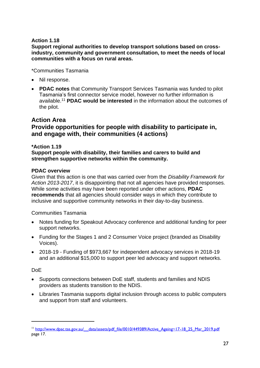#### **Support regional authorities to develop transport solutions based on crossindustry, community and government consultation, to meet the needs of local communities with a focus on rural areas.**

\*Communities Tasmania

- Nil response.
- **PDAC notes** that Community Transport Services Tasmania was funded to pilot Tasmania's first connector service model, however no further information is available.<sup>11</sup> **PDAC would be interested** in the information about the outcomes of the pilot.

# **Action Area**

# <span id="page-26-0"></span>**Provide opportunities for people with disability to participate in, and engage with, their communities (4 actions)**

#### **\*Action 1.19**

#### **Support people with disability, their families and carers to build and strengthen supportive networks within the community.**

#### **PDAC overview**

Given that this action is one that was carried over from the *Disability Framework for Action 2013-2017*, it is disappointing that not all agencies have provided responses. While some activities may have been reported under other actions, **PDAC recommends** that all agencies should consider ways in which they contribute to inclusive and supportive community networks in their day-to-day business.

Communities Tasmania

- Notes funding for Speakout Advocacy conference and additional funding for peer support networks.
- Funding for the Stages 1 and 2 Consumer Voice project (branded as Disability Voices).
- 2018-19 Funding of \$973,667 for independent advocacy services in 2018-19 and an additional \$15,000 to support peer led advocacy and support networks.

#### DoE

- Supports connections between DoE staff, students and families and NDIS providers as students transition to the NDIS.
- Libraries Tasmania supports digital inclusion through access to public computers and support from staff and volunteers.

<sup>&</sup>lt;sup>11</sup> http://www.dpac.tas.gov.au/ data/assets/pdf\_file/0010/449389/Active\_Ageing~17-18\_25\_Mar\_2019.pdf page 17.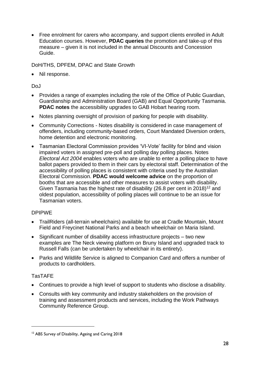• Free enrolment for carers who accompany, and support clients enrolled in Adult Education courses. However, **PDAC queries** the promotion and take-up of this measure – given it is not included in the annual Discounts and Concession Guide.

DoH/THS, DPFEM, DPAC and State Growth

• Nil response.

DoJ

- Provides a range of examples including the role of the Office of Public Guardian, Guardianship and Administration Board (GAB) and Equal Opportunity Tasmania. **PDAC notes** the accessibility upgrades to GAB Hobart hearing room.
- Notes planning oversight of provision of parking for people with disability.
- Community Corrections Notes disability is considered in case management of offenders, including community-based orders, Court Mandated Diversion orders, home detention and electronic monitoring.
- Tasmanian Electoral Commission provides 'VI-Vote' facility for blind and vision impaired voters in assigned pre-poll and polling day polling places. Notes *Electoral Act 2004* enables voters who are unable to enter a polling place to have ballot papers provided to them in their cars by electoral staff. Determination of the accessibility of polling places is consistent with criteria used by the Australian Electoral Commission. **PDAC would welcome advice** on the proportion of booths that are accessible and other measures to assist voters with disability. Given Tasmania has the highest rate of disability (26.8 per cent in 2018)<sup>12</sup> and oldest population, accessibility of polling places will continue to be an issue for Tasmanian voters.

# DPIPWE

- TrailRiders (all-terrain wheelchairs) available for use at Cradle Mountain, Mount Field and Freycinet National Parks and a beach wheelchair on Maria Island.
- Significant number of disability access infrastructure projects two new examples are The Neck viewing platform on Bruny Island and upgraded track to Russell Falls (can be undertaken by wheelchair in its entirety).
- Parks and Wildlife Service is aligned to Companion Card and offers a number of products to cardholders.

# TasTAFE

- Continues to provide a high level of support to students who disclose a disability.
- Consults with key community and industry stakeholders on the provision of training and assessment products and services, including the Work Pathways Community Reference Group.

<sup>&</sup>lt;sup>12</sup> ABS Survey of Disability, Ageing and Caring 2018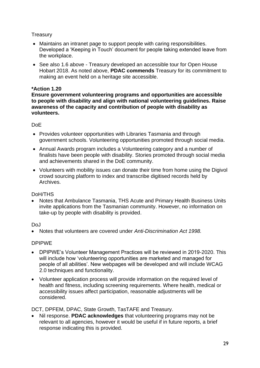#### **Treasury**

- Maintains an intranet page to support people with caring responsibilities. Developed a 'Keeping in Touch' document for people taking extended leave from the workplace.
- See also 1.6 above Treasury developed an accessible tour for Open House Hobart 2018. As noted above, **PDAC commends** Treasury for its commitment to making an event held on a heritage site accessible.

### **\*Action 1.20**

**Ensure government volunteering programs and opportunities are accessible to people with disability and align with national volunteering guidelines. Raise awareness of the capacity and contribution of people with disability as volunteers.**

# DoE

- Provides volunteer opportunities with Libraries Tasmania and through government schools. Volunteering opportunities promoted through social media.
- Annual Awards program includes a Volunteering category and a number of finalists have been people with disability. Stories promoted through social media and achievements shared in the DoE community.
- Volunteers with mobility issues can donate their time from home using the Digivol crowd sourcing platform to index and transcribe digitised records held by Archives.

#### DoH/THS

• Notes that Ambulance Tasmania, THS Acute and Primary Health Business Units invite applications from the Tasmanian community. However, no information on take-up by people with disability is provided.

#### Do<sub>J</sub>

• Notes that volunteers are covered under *Anti-Discrimination Act 1998.*

# DPIPWE

- DPIPWE's Volunteer Management Practices will be reviewed in 2019-2020. This will include how 'volunteering opportunities are marketed and managed for people of all abilities'. New webpages will be developed and will include WCAG 2.0 techniques and functionality.
- Volunteer application process will provide information on the required level of health and fitness, including screening requirements. Where health, medical or accessibility issues affect participation, reasonable adjustments will be considered.

DCT, DPFEM, DPAC, State Growth, TasTAFE and Treasury.

• Nil response. **PDAC acknowledges** that volunteering programs may not be relevant to all agencies, however it would be useful if in future reports, a brief response indicating this is provided.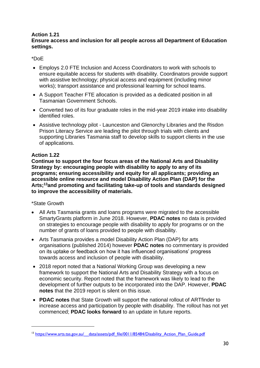#### **Ensure access and inclusion for all people across all Department of Education settings.**

#### \*DoE

- Employs 2.0 FTE Inclusion and Access Coordinators to work with schools to ensure equitable access for students with disability. Coordinators provide support with assistive technology; physical access and equipment (including minor works); transport assistance and professional learning for school teams.
- A Support Teacher FTE allocation is provided as a dedicated position in all Tasmanian Government Schools.
- Converted two of its four graduate roles in the mid-year 2019 intake into disability identified roles.
- Assistive technology pilot Launceston and Glenorchy Libraries and the Risdon Prison Literacy Service are leading the pilot through trials with clients and supporting Libraries Tasmania staff to develop skills to support clients in the use of applications.

#### **Action 1.22**

**Continue to support the four focus areas of the National Arts and Disability Strategy by: encouraging people with disability to apply to any of its programs; ensuring accessibility and equity for all applicants; providing an accessible online resource and model Disability Action Plan (DAP) for the Arts;<sup>13</sup>and promoting and facilitating take-up of tools and standards designed to improve the accessibility of materials.**

#### \*State Growth

- All Arts Tasmania grants and loans programs were migrated to the accessible SmartyGrants platform in June 2018. However, **PDAC notes** no data is provided on strategies to encourage people with disability to apply for programs or on the number of grants of loans provided to people with disability.
- Arts Tasmania provides a model Disability Action Plan (DAP) for arts organisations (published 2014) however **PDAC notes** no commentary is provided on its uptake or feedback on how it has influenced organisations' progress towards access and inclusion of people with disability.
- 2018 report noted that a National Working Group was developing a new framework to support the National Arts and Disability Strategy with a focus on economic security. Report noted that the framework was likely to lead to the development of further outputs to be incorporated into the DAP. However, **PDAC notes** that the 2019 report is silent on this issue.
- **PDAC notes** that State Growth will support the national rollout of ARTfinder to increase access and participation by people with disability. The rollout has not yet commenced; **PDAC looks forward** to an update in future reports.

<sup>&</sup>lt;sup>13</sup> https://www.arts.tas.gov.au/ data/assets/pdf\_file/0011/85484/Disability\_Action\_Plan\_Guide.pdf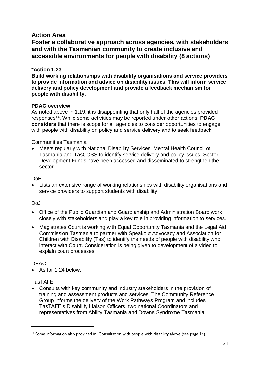# **Action Area**

<span id="page-30-0"></span>**Foster a collaborative approach across agencies, with stakeholders and with the Tasmanian community to create inclusive and accessible environments for people with disability (8 actions)**

# **\*Action 1.23**

**Build working relationships with disability organisations and service providers to provide information and advice on disability issues. This will inform service delivery and policy development and provide a feedback mechanism for people with disability.**

#### **PDAC overview**

As noted above in 1.19, it is disappointing that only half of the agencies provided responses<sup>14</sup>. While some activities may be reported under other actions, **PDAC considers** that there is scope for all agencies to consider opportunities to engage with people with disability on policy and service delivery and to seek feedback.

Communities Tasmania

• Meets regularly with National Disability Services, Mental Health Council of Tasmania and TasCOSS to identify service delivery and policy issues. Sector Development Funds have been accessed and disseminated to strengthen the sector.

#### DoE

• Lists an extensive range of working relationships with disability organisations and service providers to support students with disability.

#### DoJ

- Office of the Public Guardian and Guardianship and Administration Board work closely with stakeholders and play a key role in providing information to services.
- Magistrates Court is working with Equal Opportunity Tasmania and the Legal Aid Commission Tasmania to partner with Speakout Advocacy and Association for Children with Disability (Tas) to identify the needs of people with disability who interact with Court. Consideration is being given to development of a video to explain court processes.

#### DPAC

• As for 1.24 below.

#### TasTAFE

• Consults with key community and industry stakeholders in the provision of training and assessment products and services. The Community Reference Group informs the delivery of the Work Pathways Program and includes TasTAFE's Disability Liaison Officers, two national Coordinators and representatives from Ability Tasmania and Downs Syndrome Tasmania.

<sup>&</sup>lt;sup>14</sup> Some information also provided in 'Consultation with people with disability above (see page 14).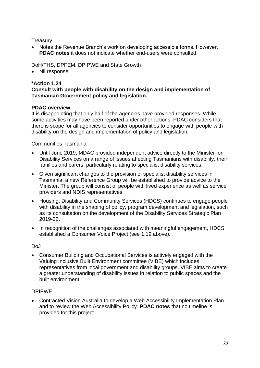**Treasury** 

• Notes the Revenue Branch's work on developing accessible forms. However, **PDAC notes** it does not indicate whether end-users were consulted.

DoH/THS, DPFEM, DPIPWE and State Growth

• Nil response.

# **\*Action 1.24**

#### **Consult with people with disability on the design and implementation of Tasmanian Government policy and legislation.**

#### **PDAC overview**

It is disappointing that only half of the agencies have provided responses. While some activities may have been reported under other actions, PDAC considers that there is scope for all agencies to consider opportunities to engage with people with disability on the design and implementation of policy and legislation.

#### Communities Tasmania

- Until June 2019, MDAC provided independent advice directly to the Minister for Disability Services on a range of issues affecting Tasmanians with disability, their families and carers, particularly relating to specialist disability services.
- Given significant changes to the provision of specialist disability services in Tasmania, a new Reference Group will be established to provide advice to the Minister. The group will consist of people with lived experience as well as service providers and NDIS representatives.
- Housing, Disability and Community Services (HDCS) continues to engage people with disability in the shaping of policy, program development and legislation, such as its consultation on the development of the Disability Services Strategic Plan 2019-22.
- In recognition of the challenges associated with meaningful engagement, HDCS established a Consumer Voice Project (see 1.19 above).

#### DoJ

• Consumer Building and Occupational Services is actively engaged with the Valuing Inclusive Built Environment committee (VIBE) which includes representatives from local government and disability groups. VIBE aims to create a greater understanding of disability issues in relation to public spaces and the built environment.

#### DPIPWE

• Contracted Vision Australia to develop a Web Accessibility Implementation Plan and to review the Web Accessibility Policy. **PDAC notes** that no timeline is provided for this project.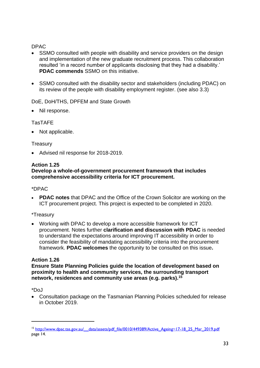### DPAC

- SSMO consulted with people with disability and service providers on the design and implementation of the new graduate recruitment process. This collaboration resulted 'in a record number of applicants disclosing that they had a disability.' **PDAC commends** SSMO on this initiative.
- SSMO consulted with the disability sector and stakeholders (including PDAC) on its review of the people with disability employment register. (see also 3.3)

DoE, DoH/THS, DPFEM and State Growth

• Nil response.

# TasTAFE

• Not applicable.

# **Treasurv**

• Advised nil response for 2018-2019.

#### **Action 1.25**

#### **Develop a whole-of-government procurement framework that includes comprehensive accessibility criteria for ICT procurement.**

#### \*DPAC

• **PDAC notes** that DPAC and the Office of the Crown Solicitor are working on the ICT procurement project. This project is expected to be completed in 2020.

#### \*Treasury

• Working with DPAC to develop a more accessible framework for ICT procurement. Notes further **clarification and discussion with PDAC** is needed to understand the expectations around improving IT accessibility in order to consider the feasibility of mandating accessibility criteria into the procurement framework. **PDAC welcomes** the opportunity to be consulted on this issue**.**

#### **Action 1.26**

**Ensure State Planning Policies guide the location of development based on proximity to health and community services, the surrounding transport network, residences and community use areas (e.g. parks).<sup>15</sup>** 

 $*$ DoJ

• Consultation package on the Tasmanian Planning Policies scheduled for release in October 2019.

<sup>&</sup>lt;sup>15</sup> http://www.dpac.tas.gov.au/ data/assets/pdf file/0010/449389/Active\_Ageing~17-18\_25\_Mar\_2019.pdf page 14.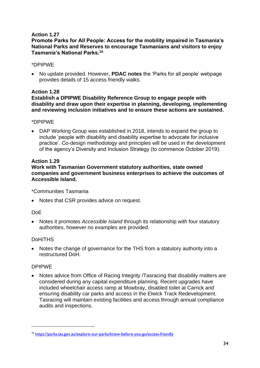#### **Promote Parks for All People: Access for the mobility impaired in Tasmania's National Parks and Reserves to encourage Tasmanians and visitors to enjoy Tasmania's National Parks. 16**

#### \*DPIPWE

• No update provided. However, **PDAC notes** the 'Parks for all people' webpage provides details of 15 access friendly walks.

#### **Action 1.28**

#### **Establish a DPIPWE Disability Reference Group to engage people with disability and draw upon their expertise in planning, developing, implementing and reviewing inclusion initiatives and to ensure these actions are sustained.**

#### \*DPIPWE

• DAP Working Group was established in 2018, intends to expand the group to include 'people with disability and disability expertise to advocate for inclusive practice'. Co-design methodology and principles will be used in the development of the agency's Diversity and Inclusion Strategy (to commence October 2019).

#### **Action 1.29**

#### **Work with Tasmanian Government statutory authorities, state owned companies and government business enterprises to achieve the outcomes of Accessible Island.**

\*Communities Tasmania

• Notes that CSR provides advice on request.

#### DoE

• Notes it promotes *Accessible Island* through its relationship with four statutory authorities, however no examples are provided.

#### DoH/THS

• Notes the change of governance for the THS from a statutory authority into a restructured DoH.

#### DPIPWE

• Notes advice from Office of Racing Integrity *(Tasracing that disability matters are* considered during any capital expenditure planning. Recent upgrades have included wheelchair access ramp at Mowbray, disabled toilet at Carrick and ensuring disability car parks and access in the Elwick Track Redevelopment. Tasracing will maintain existing facilities and access through annual compliance audits and inspections.

<sup>16</sup> <https://parks.tas.gov.au/explore-our-parks/know-before-you-go/access-friendly>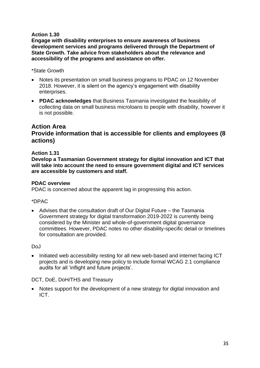**Engage with disability enterprises to ensure awareness of business development services and programs delivered through the Department of State Growth. Take advice from stakeholders about the relevance and accessibility of the programs and assistance on offer.**

\*State Growth

- Notes its presentation on small business programs to PDAC on 12 November 2018. However, it is silent on the agency's engagement with disability enterprises.
- **PDAC acknowledges** that Business Tasmania investigated the feasibility of collecting data on small business microloans to people with disability, however it is not possible.

# **Action Area**

# <span id="page-34-0"></span>**Provide information that is accessible for clients and employees (8 actions)**

#### **Action 1.31**

**Develop a Tasmanian Government strategy for digital innovation and ICT that will take into account the need to ensure government digital and ICT services are accessible by customers and staff.**

#### **PDAC overview**

PDAC is concerned about the apparent lag in progressing this action.

\*DPAC

• Advises that the consultation draft of Our Digital Future – the Tasmania Government strategy for digital transformation 2019-2022 is currently being considered by the Minister and whole-of-government digital governance committees. However, PDAC notes no other disability-specific detail or timelines for consultation are provided.

DoJ

• Initiated web accessibility resting for all new web-based and internet facing ICT projects and is developing new policy to include formal WCAG 2.1 compliance audits for all 'inflight and future projects'.

#### DCT, DoE, DoH/THS and Treasury

• Notes support for the development of a new strategy for digital innovation and ICT.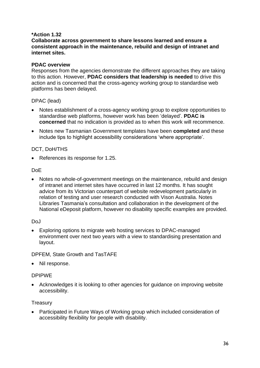#### **Collaborate across government to share lessons learned and ensure a consistent approach in the maintenance, rebuild and design of intranet and internet sites.**

#### **PDAC overview**

Responses from the agencies demonstrate the different approaches they are taking to this action. However, **PDAC considers that leadership is needed** to drive this action and is concerned that the cross-agency working group to standardise web platforms has been delayed.

#### DPAC (lead)

- Notes establishment of a cross-agency working group to explore opportunities to standardise web platforms, however work has been 'delayed'. **PDAC is concerned** that no indication is provided as to when this work will recommence.
- Notes new Tasmanian Government templates have been **completed** and these include tips to highlight accessibility considerations 'where appropriate'.

#### DCT, DoH/THS

• References its response for 1.25.

#### DoE

• Notes no whole-of-government meetings on the maintenance, rebuild and design of intranet and internet sites have occurred in last 12 months. It has sought advice from its Victorian counterpart of website redevelopment particularly in relation of testing and user research conducted with Vison Australia. Notes Libraries Tasmania's consultation and collaboration in the development of the National eDeposit platform, however no disability specific examples are provided.

#### Do<sub>J</sub>

• Exploring options to migrate web hosting services to DPAC-managed environment over next two years with a view to standardising presentation and layout.

#### DPFEM, State Growth and TasTAFE

• Nil response.

#### DPIPWE

• Acknowledges it is looking to other agencies for guidance on improving website accessibility.

#### **Treasury**

• Participated in Future Ways of Working group which included consideration of accessibility flexibility for people with disability.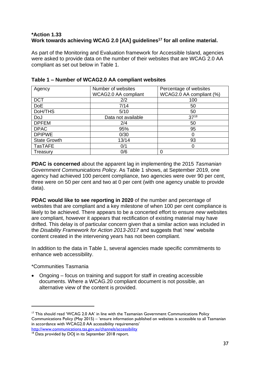#### **\*Action 1.33 Work towards achieving WCAG 2.0 [AA] guidelines<sup>17</sup> for all online material.**

As part of the Monitoring and Evaluation framework for Accessible Island, agencies were asked to provide data on the number of their websites that are WCAG 2.0 AA compliant as set out below in Table 1.

| Agency              | Number of websites   | Percentage of websites   |  |
|---------------------|----------------------|--------------------------|--|
|                     | WCAG2.0 AA compliant | WCAG2.0 AA compliant (%) |  |
| <b>DCT</b>          | 2/2                  | 100                      |  |
| <b>DoE</b>          | 7/14                 | 50                       |  |
| DoH/THS             | 5/10                 | 50                       |  |
| DoJ                 | Data not available   | $37^{18}$                |  |
| <b>DPFEM</b>        | 2/4                  | 50                       |  |
| <b>DPAC</b>         | 95%                  | 95                       |  |
| <b>DPIPWE</b>       | 0/30                 |                          |  |
| <b>State Growth</b> | 13/14                | 93                       |  |
| <b>TasTAFE</b>      | 0/1                  |                          |  |
| Treasury            | 0/6                  |                          |  |

#### **Table 1 – Number of WCAG2.0 AA compliant websites**

**PDAC is concerned** about the apparent lag in implementing the 2015 *Tasmanian Government Communications Policy*. As Table 1 shows, at September 2019, one agency had achieved 100 percent compliance, two agencies were over 90 per cent, three were on 50 per cent and two at 0 per cent (with one agency unable to provide data).

**PDAC would like to see reporting in 2020** of the number and percentage of websites that are compliant and a key milestone of when 100 per cent compliance is likely to be achieved. There appears to be a concerted effort to ensure *new* websites are compliant, however it appears that rectification of existing material may have drifted. This delay is of particular concern given that a similar action was included in the *Disability Framework for Action 2013-2017* and suggests that 'new' website content created in the intervening years has not been compliant.

In addition to the data in Table 1, several agencies made specific commitments to enhance web accessibility.

\*Communities Tasmania

• Ongoing – focus on training and support for staff in creating accessible documents. Where a WCAG.20 compliant document is not possible, an alternative view of the content is provided.

 $17$  This should read 'WCAG 2.0 AA' in line with the Tasmanian Government Communications Policy Communications Policy (May 2015) – 'ensure information published on websites is accessible to all Tasmanian in accordance with WCAG2.0 AA accessibility requirements'

<http://www.communications.tas.gov.au/channels/accessibility>

<sup>&</sup>lt;sup>18</sup> Data provided by DOJ in its September 2018 report.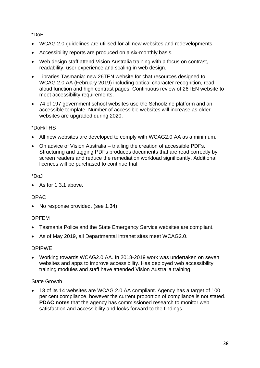### \*DoE

- WCAG 2.0 guidelines are utilised for all new websites and redevelopments.
- Accessibility reports are produced on a six-monthly basis.
- Web design staff attend Vision Australia training with a focus on contrast, readability, user experience and scaling in web design.
- Libraries Tasmania: new 26TEN website for chat resources designed to WCAG 2.0 AA (February 2019) including optical character recognition, read aloud function and high contrast pages. Continuous review of 26TEN website to meet accessibility requirements.
- 74 of 197 government school websites use the Schoolzine platform and an accessible template. Number of accessible websites will increase as older websites are upgraded during 2020.

# \*DoH/THS

- All new websites are developed to comply with WCAG2.0 AA as a minimum.
- On advice of Vision Australia trialling the creation of accessible PDFs. Structuring and tagging PDFs produces documents that are read correctly by screen readers and reduce the remediation workload significantly. Additional licences will be purchased to continue trial.

# \*DoJ

• As for 1.3.1 above

# DPAC

• No response provided. (see 1.34)

# DPFEM

- Tasmania Police and the State Emergency Service websites are compliant.
- As of May 2019, all Departmental intranet sites meet WCAG2.0.

# DPIPWE

• Working towards WCAG2.0 AA. In 2018-2019 work was undertaken on seven websites and apps to improve accessibility. Has deployed web accessibility training modules and staff have attended Vision Australia training.

### State Growth

• 13 of its 14 websites are WCAG 2.0 AA compliant. Agency has a target of 100 per cent compliance, however the current proportion of compliance is not stated. **PDAC notes** that the agency has commissioned research to monitor web satisfaction and accessibility and looks forward to the findings.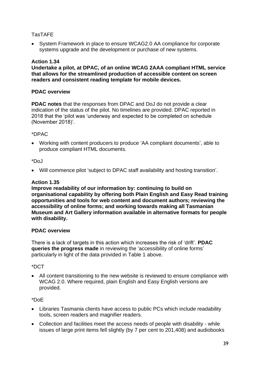#### TasTAFE

• System Framework in place to ensure WCAG2.0 AA compliance for corporate systems upgrade and the development or purchase of new systems.

#### **Action 1.34**

**Undertake a pilot, at DPAC, of an online WCAG 2AAA compliant HTML service that allows for the streamlined production of accessible content on screen readers and consistent reading template for mobile devices.** 

#### **PDAC overview**

**PDAC notes** that the responses from DPAC and DoJ do not provide a clear indication of the status of the pilot. No timelines are provided. DPAC reported in 2018 that the 'pilot was 'underway and expected to be completed on schedule (November 2018)'.

#### \*DPAC

• Working with content producers to produce 'AA compliant documents', able to produce compliant HTML documents.

#### \*DoJ

• Will commence pilot 'subject to DPAC staff availability and hosting transition'.

#### **Action 1.35**

**Improve readability of our information by: continuing to build on organisational capability by offering both Plain English and Easy Read training opportunities and tools for web content and document authors; reviewing the accessibility of online forms; and working towards making all Tasmanian Museum and Art Gallery information available in alternative formats for people with disability.** 

#### **PDAC overview**

There is a lack of targets in this action which increases the risk of 'drift'. **PDAC queries the progress made** in reviewing the 'accessibility of online forms' particularly in light of the data provided in Table 1 above.

#### \*DCT

• All content transitioning to the new website is reviewed to ensure compliance with WCAG 2.0. Where required, plain English and Easy English versions are provided.

#### \*DoE

- Libraries Tasmania clients have access to public PCs which include readability tools, screen readers and magnifier readers.
- Collection and facilities meet the access needs of people with disability while issues of large print items fell slightly (by 7 per cent to 201,408) and audiobooks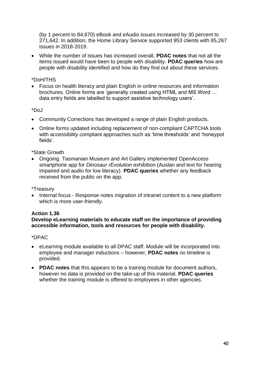(by 1 percent to 84,670) eBook and eAudio issues increased by 30 percent to 271,642. In addition, the Home Library Service supported 953 clients with 85,267 issues in 2018-2019.

• While the number of issues has increased overall, **PDAC notes** that not all the items issued would have been to people with disability. **PDAC queries** how are people with disability identified and how do they find out about these services.

#### \*DoH/THS

• Focus on health literacy and plain English in online resources and information brochures. Online forms are 'generally created using HTML and MS Word … data entry fields are labelled to support assistive technology users'.

#### \*DoJ

- Community Corrections has developed a range of plain English products.
- Online forms updated including replacement of non-compliant CAPTCHA tools with accessibility compliant approaches such as 'time thresholds' and 'honeypot fields'.

#### \*State Growth

• Ongoing. Tasmanian Museum and Art Gallery implemented OpenAccess smartphone app for *Dinosaur rEvolution* exhibition (Auslan and text for hearing impaired and audio for low literacy). **PDAC queries** whether any feedback received from the public on the app.

#### \*Treasury

• Internal focus - Response notes migration of intranet content to a new platform which is more user-friendly.

#### **Action 1.36**

#### **Develop eLearning materials to educate staff on the importance of providing accessible information, tools and resources for people with disability.**

#### \*DPAC

- eLearning module available to all DPAC staff. Module will be incorporated into employee and manager inductions – however, **PDAC notes** no timeline is provided.
- **PDAC notes** that this appears to be a training module for document authors, however no data is provided on the take-up of this material. **PDAC queries** whether the training module is offered to employees in other agencies.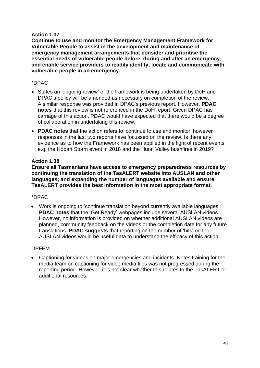# **Action 1.37**

**Continue to use and monitor the Emergency Management Framework for Vulnerable People to assist in the development and maintenance of emergency management arrangements that consider and prioritise the essential needs of vulnerable people before, during and after an emergency; and enable service providers to readily identify, locate and communicate with vulnerable people in an emergency.** 

### \*DPAC

- States an 'ongoing review' of the framework is being undertaken by DoH and DPAC's policy will be amended as necessary on completion of the review. A similar response was provided in DPAC's previous report. However, **PDAC notes** that this review is not referenced in the DoH report. Given DPAC has carriage of this action, PDAC would have expected that there would be a degree of collaboration in undertaking this review.
- **PDAC notes** that the action refers to 'continue to use and monitor' however responses in the last two reports have focussed on the review. Is there any evidence as to how the Framework has been applied in the light of recent events e.g. the Hobart Storm event in 2018 and the Huon Valley bushfires in 2019?

# **Action 1.38**

**Ensure all Tasmanians have access to emergency preparedness resources by continuing the translation of the TasALERT website into AUSLAN and other languages; and expanding the number of languages available and ensure TasALERT provides the best information in the most appropriate format.**

### \*DPAC

• Work is ongoing to 'continue translation beyond currently available languages'. **PDAC notes** that the 'Get Ready' webpages include several AUSLAN videos. However, no information is provided on whether additional AUSLAN videos are planned, community feedback on the videos or the completion date for any future translations. **PDAC suggests** that reporting on the number of 'hits' on the AUSLAN videos would be useful data to understand the efficacy of this action.

### DPFEM

• Captioning for videos on major emergencies and incidents. Notes training for the media team on captioning for video media files was not progressed during the reporting period. However, it is not clear whether this relates to the TasALERT or additional resources.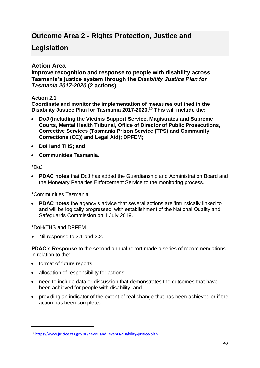# **Outcome Area 2 - Rights Protection, Justice and**

# **Legislation**

# **Action Area**

**Improve recognition and response to people with disability across Tasmania's justice system through the** *Disability Justice Plan for Tasmania 2017-2020* **(2 actions)**

# **Action 2.1**

**Coordinate and monitor the implementation of measures outlined in the Disability Justice Plan for Tasmania 2017-2020.<sup>19</sup> This will include the:**

- **DoJ (including the Victims Support Service, Magistrates and Supreme Courts, Mental Health Tribunal, Office of Director of Public Prosecutions, Corrective Services (Tasmania Prison Service (TPS) and Community Corrections (CC)) and Legal Aid); DPFEM;**
- **DoH and THS; and**
- **Communities Tasmania.**

# \*DoJ

• **PDAC notes** that DoJ has added the Guardianship and Administration Board and the Monetary Penalties Enforcement Service to the monitoring process.

\*Communities Tasmania

• **PDAC notes** the agency's advice that several actions are 'intrinsically linked to and will be logically progressed' with establishment of the National Quality and Safeguards Commission on 1 July 2019.

\*DoH/THS and DPFEM

• Nil response to 2.1 and 2.2.

**PDAC's Response** to the second annual report made a series of recommendations in relation to the:

- format of future reports;
- allocation of responsibility for actions;
- need to include data or discussion that demonstrates the outcomes that have been achieved for people with disability; and
- providing an indicator of the extent of real change that has been achieved or if the action has been completed.

<sup>&</sup>lt;sup>19</sup> [https://www.justice.tas.gov.au/news\\_and\\_events/disability-justice-plan](https://www.justice.tas.gov.au/news_and_events/disability-justice-plan)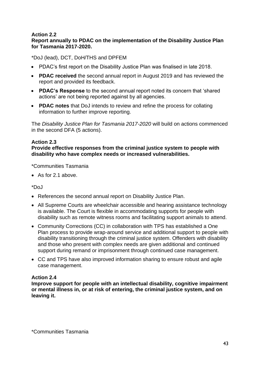# **Action 2.2**

#### **Report annually to PDAC on the implementation of the Disability Justice Plan for Tasmania 2017-2020.**

\*DoJ (lead), DCT, DoH/THS and DPFEM

- PDAC's first report on the Disability Justice Plan was finalised in late 2018.
- **PDAC received** the second annual report in August 2019 and has reviewed the report and provided its feedback.
- **PDAC's Response** to the second annual report noted its concern that 'shared actions' are not being reported against by all agencies.
- **PDAC notes** that DoJ intends to review and refine the process for collating information to further improve reporting.

The *Disability Justice Plan for Tasmania 2017-2020* will build on actions commenced in the second DFA (5 actions).

# **Action 2.3**

#### **Provide effective responses from the criminal justice system to people with disability who have complex needs or increased vulnerabilities.**

\*Communities Tasmania

• As for 2.1 above.

\*DoJ

- References the second annual report on Disability Justice Plan.
- All Supreme Courts are wheelchair accessible and hearing assistance technology is available. The Court is flexible in accommodating supports for people with disability such as remote witness rooms and facilitating support animals to attend.
- Community Corrections (CC) in collaboration with TPS has established a One Plan process to provide wrap-around service and additional support to people with disability transitioning through the criminal justice system. Offenders with disability and those who present with complex needs are given additional and continued support during remand or imprisonment through continued case management.
- CC and TPS have also improved information sharing to ensure robust and agile case management.

### **Action 2.4**

**Improve support for people with an intellectual disability, cognitive impairment or mental illness in, or at risk of entering, the criminal justice system, and on leaving it.**

\*Communities Tasmania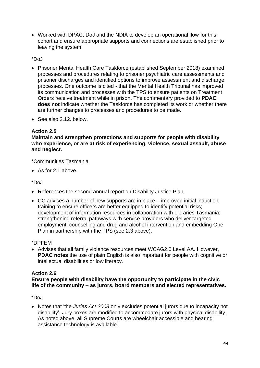• Worked with DPAC, DoJ and the NDIA to develop an operational flow for this cohort and ensure appropriate supports and connections are established prior to leaving the system.

\*DoJ

- Prisoner Mental Health Care Taskforce (established September 2018) examined processes and procedures relating to prisoner psychiatric care assessments and prisoner discharges and identified options to improve assessment and discharge processes. One outcome is cited - that the Mental Health Tribunal has improved its communication and processes with the TPS to ensure patients on Treatment Orders receive treatment while in prison. The commentary provided to **PDAC does not** indicate whether the Taskforce has completed its work or whether there are further changes to processes and procedures to be made.
- See also 2.12, below.

### **Action 2.5**

**Maintain and strengthen protections and supports for people with disability who experience, or are at risk of experiencing, violence, sexual assault, abuse and neglect.**

\*Communities Tasmania

• As for 2.1 above.

\*DoJ

- References the second annual report on Disability Justice Plan.
- CC advises a number of new supports are in place improved initial induction training to ensure officers are better equipped to identify potential risks; development of information resources in collaboration with Libraries Tasmania; strengthening referral pathways with service providers who deliver targeted employment, counselling and drug and alcohol intervention and embedding One Plan in partnership with the TPS (see 2.3 above).

### \*DPFEM

• Advises that all family violence resources meet WCAG2.0 Level AA. However, **PDAC notes** the use of plain English is also important for people with cognitive or intellectual disabilities or low literacy.

### **Action 2.6**

**Ensure people with disability have the opportunity to participate in the civic life of the community – as jurors, board members and elected representatives.**

\*DoJ

• Notes that 'the *Juries Act 2003* only excludes potential jurors due to incapacity not disability'. Jury boxes are modified to accommodate jurors with physical disability. As noted above, all Supreme Courts are wheelchair accessible and hearing assistance technology is available.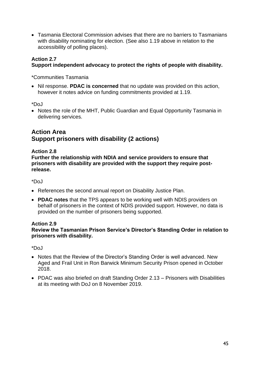• Tasmania Electoral Commission advises that there are no barriers to Tasmanians with disability nominating for election. (See also 1.19 above in relation to the accessibility of polling places).

#### **Action 2.7 Support independent advocacy to protect the rights of people with disability.**

\*Communities Tasmania

• Nil response. **PDAC is concerned** that no update was provided on this action, however it notes advice on funding commitments provided at 1.19.

### \*DoJ

• Notes the role of the MHT, Public Guardian and Equal Opportunity Tasmania in delivering services.

# **Action Area Support prisoners with disability (2 actions)**

# **Action 2.8**

**Further the relationship with NDIA and service providers to ensure that prisoners with disability are provided with the support they require postrelease.** 

# \*DoJ

- References the second annual report on Disability Justice Plan.
- **PDAC notes** that the TPS appears to be working well with NDIS providers on behalf of prisoners in the context of NDIS provided support. However, no data is provided on the number of prisoners being supported.

### **Action 2.9**

**Review the Tasmanian Prison Service's Director's Standing Order in relation to prisoners with disability.**

\*DoJ

- Notes that the Review of the Director's Standing Order is well advanced. New Aged and Frail Unit in Ron Barwick Minimum Security Prison opened in October 2018.
- PDAC was also briefed on draft Standing Order 2.13 Prisoners with Disabilities at its meeting with DoJ on 8 November 2019.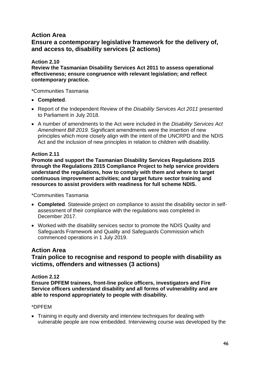# **Action Area**

# **Ensure a contemporary legislative framework for the delivery of, and access to, disability services (2 actions)**

### **Action 2.10**

**Review the Tasmanian Disability Services Act 2011 to assess operational effectiveness; ensure congruence with relevant legislation; and reflect contemporary practice.**

\*Communities Tasmania

- **Completed**.
- Report of the Independent Review of the *Disability Services Act 2011* presented to Parliament in July 2018.
- A number of amendments to the Act were included in the *Disability Services Act Amendment Bill 2019.* Significant amendments were the insertion of new principles which more closely align with the intent of the UNCRPD and the NDIS Act and the inclusion of new principles in relation to children with disability.

### **Action 2.11**

**Promote and support the Tasmanian Disability Services Regulations 2015 through the Regulations 2015 Compliance Project to help service providers understand the regulations, how to comply with them and where to target continuous improvement activities; and target future sector training and resources to assist providers with readiness for full scheme NDIS.**

\*Communities Tasmania

- **Completed**. Statewide project on compliance to assist the disability sector in selfassessment of their compliance with the regulations was completed in December 2017.
- Worked with the disability services sector to promote the NDIS Quality and Safeguards Framework and Quality and Safeguards Commission which commenced operations in 1 July 2019.

# **Action Area**

# **Train police to recognise and respond to people with disability as victims, offenders and witnesses (3 actions)**

### **Action 2.12**

**Ensure DPFEM trainees, front-line police officers, investigators and Fire Service officers understand disability and all forms of vulnerability and are able to respond appropriately to people with disability.**

#### \*DPFEM

• Training in equity and diversity and interview techniques for dealing with vulnerable people are now embedded. Interviewing course was developed by the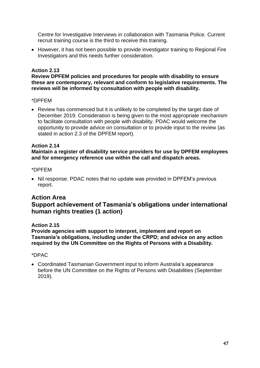Centre for Investigative Interviews in collaboration with Tasmania Police. Current recruit training course is the third to receive this training.

• However, it has not been possible to provide investigator training to Regional Fire Investigators and this needs further consideration.

### **Action 2.13**

#### **Review DPFEM policies and procedures for people with disability to ensure these are contemporary, relevant and conform to legislative requirements. The reviews will be informed by consultation with people with disability.**

#### \*DPFEM

• Review has commenced but it is unlikely to be completed by the target date of December 2019. Consideration is being given to the most appropriate mechanism to facilitate consultation with people with disability. PDAC would welcome the opportunity to provide advice on consultation or to provide input to the review (as stated in action 2.3 of the DPFEM report).

### **Action 2.14**

#### **Maintain a register of disability service providers for use by DPFEM employees and for emergency reference use within the call and dispatch areas.**

#### \*DPFEM

• Nil response. PDAC notes that no update was provided in DPFEM's previous report.

# **Action Area**

# **Support achievement of Tasmania's obligations under international human rights treaties (1 action)**

#### **Action 2.15**

**Provide agencies with support to interpret, implement and report on Tasmania's obligations, including under the CRPD; and advice on any action required by the UN Committee on the Rights of Persons with a Disability.**

### \*DPAC

• Coordinated Tasmanian Government input to inform Australia's appearance before the UN Committee on the Rights of Persons with Disabilities (September 2019).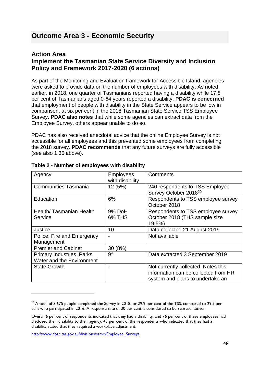# **Action Area Implement the Tasmanian State Service Diversity and Inclusion Policy and Framework 2017-2020 (6 actions)**

As part of the Monitoring and Evaluation framework for Accessible Island, agencies were asked to provide data on the number of employees with disability. As noted earlier, in 2018, one quarter of Tasmanians reported having a disability while 17.8 per cent of Tasmanians aged 0-64 years reported a disability. **PDAC is concerned** that employment of people with disability in the State Service appears to be low in comparison, at six per cent in the 2018 Tasmanian State Service TSS Employee Survey. **PDAC also notes** that while some agencies can extract data from the Employee Survey, others appear unable to do so.

PDAC has also received anecdotal advice that the online Employee Survey is not accessible for all employees and this prevented some employees from completing the 2018 survey. **PDAC recommends** that any future surveys are fully accessible (see also 1.35 above).

| Agency                      | <b>Employees</b><br>with disability | Comments                                                                                                        |
|-----------------------------|-------------------------------------|-----------------------------------------------------------------------------------------------------------------|
| <b>Communities Tasmania</b> | 12 (5%)                             | 240 respondents to TSS Employee<br>Survey October 2018 <sup>20</sup>                                            |
| Education                   | 6%                                  | Respondents to TSS employee survey<br>October 2018                                                              |
| Health/Tasmanian Health     | 9% DoH                              | Respondents to TSS employee survey                                                                              |
| Service                     | 6% THS                              | October 2018 (THS sample size                                                                                   |
|                             |                                     | 19.5%                                                                                                           |
| Justice                     | 10                                  | Data collected 21 August 2019                                                                                   |
| Police, Fire and Emergency  |                                     | Not available                                                                                                   |
| Management                  |                                     |                                                                                                                 |
| <b>Premier and Cabinet</b>  | 30 (8%)                             |                                                                                                                 |
| Primary Industries, Parks,  | g٨                                  | Data extracted 3 September 2019                                                                                 |
| Water and the Environment   |                                     |                                                                                                                 |
| <b>State Growth</b>         | $\blacksquare$                      | Not currently collected. Notes this<br>information can be collected from HR<br>system and plans to undertake an |

#### **Table 2 - Number of employees with disability**

[http://www.dpac.tas.gov.au/divisions/ssmo/Employee\\_Surveys](http://www.dpac.tas.gov.au/divisions/ssmo/Employee_Surveys)

<sup>&</sup>lt;sup>20</sup> A total of 8,675 people completed the Survey in 2018, or 29.9 per cent of the TSS, compared to 29.5 per cent who participated in 2016. A response rate of 30 per cent is considered to be representative.

Overall 6 per cent of respondents indicated that they had a disability, and 76 per cent of these employees had disclosed their disability to their agency. 43 per cent of the respondents who indicated that they had a disability stated that they required a workplace adjustment.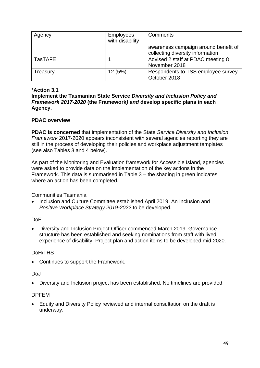| Agency         | <b>Employees</b><br>with disability | Comments                                                                 |
|----------------|-------------------------------------|--------------------------------------------------------------------------|
|                |                                     | awareness campaign around benefit of<br>collecting diversity information |
| <b>TasTAFE</b> |                                     | Advised 2 staff at PDAC meeting 8<br>November 2018                       |
| Treasury       | 12(5%)                              | Respondents to TSS employee survey<br>October 2018                       |

#### **\*Action 3.1**

#### **Implement the Tasmanian State Service** *Diversity and Inclusion Policy and Framework 2017-2020* **(the Framework***) and* **develop specific plans in each Agency.**

#### **PDAC overview**

**PDAC is concerned** that implementation of the State *Service Diversity and Inclusion Framework* 2017-2020 appears inconsistent with several agencies reporting they are still in the process of developing their policies and workplace adjustment templates (see also Tables 3 and 4 below).

As part of the Monitoring and Evaluation framework for Accessible Island, agencies were asked to provide data on the implementation of the key actions in the Framework. This data is summarised in Table 3 – the shading in green indicates where an action has been completed.

#### Communities Tasmania

• Inclusion and Culture Committee established April 2019. An Inclusion and *Positive Workplace Strategy 2019-2022* to be developed.

### DoE

• Diversity and Inclusion Project Officer commenced March 2019. Governance structure has been established and seeking nominations from staff with lived experience of disability. Project plan and action items to be developed mid-2020.

### DoH/THS

• Continues to support the Framework.

### Do<sub>J</sub>

• Diversity and Inclusion project has been established. No timelines are provided.

### DPFEM

• Equity and Diversity Policy reviewed and internal consultation on the draft is underway.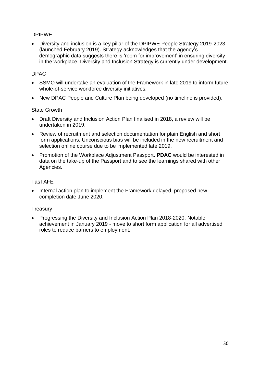# DPIPWE

• Diversity and inclusion is a key pillar of the DPIPWE People Strategy 2019-2023 (launched February 2019). Strategy acknowledges that the agency's demographic data suggests there is 'room for improvement' in ensuring diversity in the workplace. Diversity and Inclusion Strategy is currently under development.

# DPAC

- SSMO will undertake an evaluation of the Framework in late 2019 to inform future whole-of-service workforce diversity initiatives.
- New DPAC People and Culture Plan being developed (no timeline is provided).

#### State Growth

- Draft Diversity and Inclusion Action Plan finalised in 2018, a review will be undertaken in 2019.
- Review of recruitment and selection documentation for plain English and short form applications. Unconscious bias will be included in the new recruitment and selection online course due to be implemented late 2019.
- Promotion of the Workplace Adjustment Passport. **PDAC** would be interested in data on the take-up of the Passport and to see the learnings shared with other Agencies.

# TasTAFE

• Internal action plan to implement the Framework delayed, proposed new completion date June 2020.

### **Treasury**

• Progressing the Diversity and Inclusion Action Plan 2018-2020. Notable achievement in January 2019 - move to short form application for all advertised roles to reduce barriers to employment.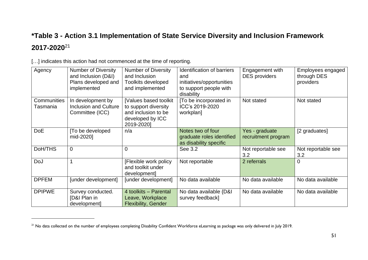# **\*Table 3 - Action 3.1 Implementation of State Service Diversity and Inclusion Framework 2017-2020**<sup>21</sup>

| Agency                         | <b>Number of Diversity</b><br>and Inclusion (D&I)<br>Plans developed and<br>implemented | <b>Number of Diversity</b><br>and Inclusion<br><b>Toolkits developed</b><br>and implemented           | <b>Identification of barriers</b><br>and<br>initiatives/opportunities<br>to support people with<br>disability | Engagement with<br><b>DES</b> providers | Employees engaged<br>through DES<br>providers |
|--------------------------------|-----------------------------------------------------------------------------------------|-------------------------------------------------------------------------------------------------------|---------------------------------------------------------------------------------------------------------------|-----------------------------------------|-----------------------------------------------|
| <b>Communities</b><br>Tasmania | In development by<br><b>Inclusion and Culture</b><br>Committee (ICC)                    | Values based toolkit<br>to support diversity<br>and inclusion to be<br>developed by ICC<br>2019-2020] | [To be incorporated in<br>ICC's 2019-2020<br>workplan]                                                        | Not stated                              | Not stated                                    |
| <b>DoE</b>                     | To be developed<br>mid-2020]                                                            | n/a                                                                                                   | Notes two of four<br>graduate roles identified<br>as disability specific                                      | Yes - graduate<br>recruitment program   | [2 graduates]                                 |
| DoH/THS                        | $\overline{0}$                                                                          | 0                                                                                                     | See 3.2                                                                                                       | Not reportable see<br>3.2               | Not reportable see<br>3.2                     |
| DoJ                            |                                                                                         | [Flexible work policy<br>and toolkit under<br>development]                                            | Not reportable                                                                                                | 2 referrals                             | 0                                             |
| <b>DPFEM</b>                   | [under development]                                                                     | [under development]                                                                                   | No data available                                                                                             | No data available                       | No data available                             |
| <b>DPIPWE</b>                  | Survey conducted.<br>[D&I Plan in<br>development]                                       | 4 toolkits - Parental<br>Leave, Workplace<br><b>Flexibility, Gender</b>                               | No data available {D&I<br>survey feedback]                                                                    | No data available                       | No data available                             |

[...] indicates this action had not commenced at the time of reporting.

<sup>&</sup>lt;sup>21</sup> No data collected on the number of employees completing Disability Confident Workforce eLearning as package was only delivered in July 2019.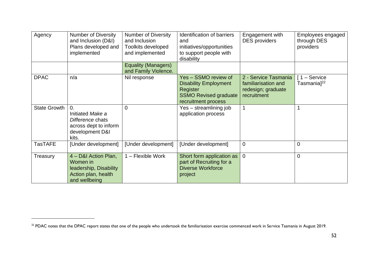| Agency              | <b>Number of Diversity</b><br>and Inclusion (D&I)<br>Plans developed and<br>implemented                 | <b>Number of Diversity</b><br>and Inclusion<br><b>Toolkits developed</b><br>and implemented | <b>Identification of barriers</b><br>and<br>initiatives/opportunities<br>to support people with<br>disability           | Engagement with<br><b>DES</b> providers                                          | Employees engaged<br>through DES<br>providers |
|---------------------|---------------------------------------------------------------------------------------------------------|---------------------------------------------------------------------------------------------|-------------------------------------------------------------------------------------------------------------------------|----------------------------------------------------------------------------------|-----------------------------------------------|
|                     |                                                                                                         | Equality (Managers)<br>and Family Violence.                                                 |                                                                                                                         |                                                                                  |                                               |
| <b>DPAC</b>         | n/a                                                                                                     | Nil response                                                                                | Yes - SSMO review of<br><b>Disability Employment</b><br>Register<br><b>SSMO Revised graduate</b><br>recruitment process | 2 - Service Tasmania<br>familiarisation and<br>redesign; graduate<br>recruitment | [1 - Service<br>Tasmania <sup>22</sup>        |
| <b>State Growth</b> | $\Omega$ .<br>Initiated Make a<br>Difference chats<br>across dept to inform<br>development D&I<br>kits. | 0                                                                                           | Yes - streamlining job<br>application process                                                                           |                                                                                  |                                               |
| <b>TasTAFE</b>      | [Under development]                                                                                     | [Under development]                                                                         | [Under development]                                                                                                     | 0                                                                                | 0                                             |
| Treasury            | 4 - D&I Action Plan,<br>Women in<br>leadership, Disability<br>Action plan, health<br>and wellbeing      | 1 – Flexible Work                                                                           | Short form application as<br>part of Recruiting for a<br><b>Diverse Workforce</b><br>project                            | $\mathbf 0$                                                                      | 0                                             |

<sup>&</sup>lt;sup>22</sup> PDAC notes that the DPAC report states that one of the people who undertook the familiarisation exercise commenced work in Service Tasmania in August 2019.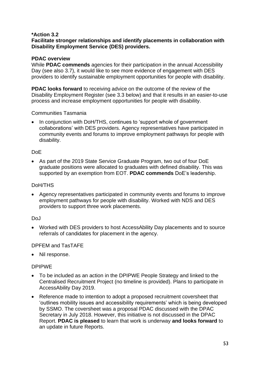### **\*Action 3.2**

#### **Facilitate stronger relationships and identify placements in collaboration with Disability Employment Service (DES) providers.**

### **PDAC overview**

While **PDAC commends** agencies for their participation in the annual Accessibility Day (see also 3.7), it would like to see more evidence of engagement with DES providers to identify sustainable employment opportunities for people with disability.

**PDAC looks forward** to receiving advice on the outcome of the review of the Disability Employment Register (see 3.3 below) and that it results in an easier-to-use process and increase employment opportunities for people with disability.

#### Communities Tasmania

• In conjunction with DoH/THS, continues to 'support whole of government collaborations' with DES providers. Agency representatives have participated in community events and forums to improve employment pathways for people with disability.

### DoE

• As part of the 2019 State Service Graduate Program, two out of four DoE graduate positions were allocated to graduates with defined disability. This was supported by an exemption from EOT. **PDAC commends** DoE's leadership.

### DoH/THS

• Agency representatives participated in community events and forums to improve employment pathways for people with disability. Worked with NDS and DES providers to support three work placements.

### DoJ.

• Worked with DES providers to host AccessAbility Day placements and to source referrals of candidates for placement in the agency.

DPFEM and TasTAFE

• Nil response.

### DPIPWE

- To be included as an action in the DPIPWE People Strategy and linked to the Centralised Recruitment Project (no timeline is provided). Plans to participate in AccessAbility Day 2019.
- Reference made to intention to adopt a proposed recruitment coversheet that 'outlines mobility issues and accessibility requirements' which is being developed by SSMO. The coversheet was a proposal PDAC discussed with the DPAC Secretary in July 2018. However, this initiative is not discussed in the DPAC Report. **PDAC is pleased** to learn that work is underway **and looks forward** to an update in future Reports.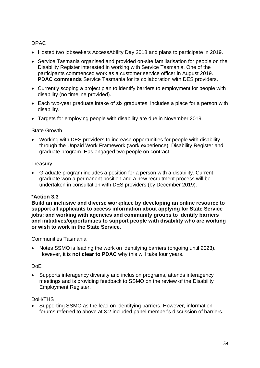# DPAC

- Hosted two jobseekers AccessAbIlity Day 2018 and plans to participate in 2019.
- Service Tasmania organised and provided on-site familiarisation for people on the Disability Register interested in working with Service Tasmania. One of the participants commenced work as a customer service officer in August 2019. **PDAC commends** Service Tasmania for its collaboration with DES providers.
- Currently scoping a project plan to identify barriers to employment for people with disability (no timeline provided).
- Each two-year graduate intake of six graduates, includes a place for a person with disability.
- Targets for employing people with disability are due in November 2019.

### State Growth

• Working with DES providers to increase opportunities for people with disability through the Unpaid Work Framework (work experience), Disability Register and graduate program. Has engaged two people on contract.

# **Treasury**

• Graduate program includes a position for a person with a disability. Current graduate won a permanent position and a new recruitment process will be undertaken in consultation with DES providers (by December 2019).

# **\*Action 3.3**

**Build an inclusive and diverse workplace by developing an online resource to support all applicants to access information about applying for State Service jobs; and working with agencies and community groups to identify barriers and initiatives/opportunities to support people with disability who are working or wish to work in the State Service.**

### Communities Tasmania

• Notes SSMO is leading the work on identifying barriers (ongoing until 2023). However, it is **not clear to PDAC** why this will take four years.

# DoE

• Supports interagency diversity and inclusion programs, attends interagency meetings and is providing feedback to SSMO on the review of the Disability Employment Register.

# DoH/THS

• Supporting SSMO as the lead on identifying barriers. However, information forums referred to above at 3.2 included panel member's discussion of barriers.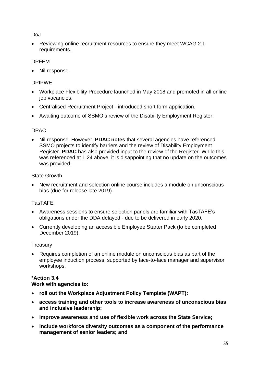DoJ

• Reviewing online recruitment resources to ensure they meet WCAG 2.1 requirements.

# DPFEM

• Nil response.

### DPIPWE

- Workplace Flexibility Procedure launched in May 2018 and promoted in all online job vacancies.
- Centralised Recruitment Project introduced short form application.
- Awaiting outcome of SSMO's review of the Disability Employment Register.

# DPAC

• Nil response. However, **PDAC notes** that several agencies have referenced SSMO projects to identify barriers and the review of Disability Employment Register. **PDAC** has also provided input to the review of the Register. While this was referenced at 1.24 above, it is disappointing that no update on the outcomes was provided.

# State Growth

• New recruitment and selection online course includes a module on unconscious bias (due for release late 2019).

# TasTAFE

- Awareness sessions to ensure selection panels are familiar with TasTAFE's obligations under the DDA delayed - due to be delivered in early 2020.
- Currently developing an accessible Employee Starter Pack (to be completed December 2019).

### **Treasury**

• Requires completion of an online module on unconscious bias as part of the employee induction process, supported by face-to-face manager and supervisor workshops.

# **\*Action 3.4**

### **Work with agencies to:**

- **roll out the Workplace Adjustment Policy Template (WAPT):**
- **access training and other tools to increase awareness of unconscious bias and inclusive leadership;**
- **improve awareness and use of flexible work across the State Service;**
- **include workforce diversity outcomes as a component of the performance management of senior leaders; and**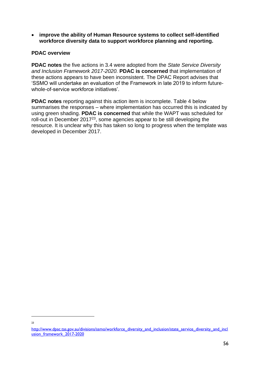• **improve the ability of Human Resource systems to collect self-identified workforce diversity data to support workforce planning and reporting.**

#### **PDAC overview**

23

**PDAC notes** the five actions in 3.4 were adopted from the *State Service Diversity and Inclusion Framework 2017-2020.* **PDAC is concerned** that implementation of these actions appears to have been inconsistent. The DPAC Report advises that 'SSMO will undertake an evaluation of the Framework in late 2019 to inform futurewhole-of-service workforce initiatives'.

**PDAC notes** reporting against this action item is incomplete. Table 4 below summarises the responses – where implementation has occurred this is indicated by using green shading. **PDAC is concerned** that while the WAPT was scheduled for roll-out in December  $2017^{23}$ , some agencies appear to be still developing the resource. It is unclear why this has taken so long to progress when the template was developed in December 2017.

[http://www.dpac.tas.gov.au/divisions/ssmo/workforce\\_diversity\\_and\\_inclusion/state\\_service\\_diversity\\_and\\_incl](http://www.dpac.tas.gov.au/divisions/ssmo/workforce_diversity_and_inclusion/state_service_diversity_and_inclusion_framework_2017-2020) [usion\\_framework\\_2017-2020](http://www.dpac.tas.gov.au/divisions/ssmo/workforce_diversity_and_inclusion/state_service_diversity_and_inclusion_framework_2017-2020)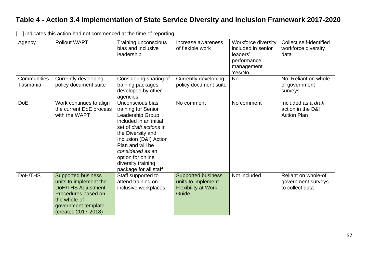# **Table 4 - Action 3.4 Implementation of State Service Diversity and Inclusion Framework 2017-2020**

| Agency                  | <b>Rollout WAPT</b>                                                                                                                                                    | Training unconscious<br>bias and inclusive<br>leadership                                                                                                                                                                                                                           | Increase awareness<br>of flexible work                                                 | <b>Workforce diversity</b><br>included in senior<br>leaders'<br>performance<br>management<br>Yes/No | <b>Collect self-identified</b><br>workforce diversity<br>data  |
|-------------------------|------------------------------------------------------------------------------------------------------------------------------------------------------------------------|------------------------------------------------------------------------------------------------------------------------------------------------------------------------------------------------------------------------------------------------------------------------------------|----------------------------------------------------------------------------------------|-----------------------------------------------------------------------------------------------------|----------------------------------------------------------------|
| Communities<br>Tasmania | Currently developing<br>policy document suite                                                                                                                          | Considering sharing of<br>training packages<br>developed by other<br>agencies                                                                                                                                                                                                      | Currently developing<br>policy document suite                                          | <b>No</b>                                                                                           | No. Reliant on whole-<br>of government<br>surveys              |
| <b>DoE</b>              | Work continues to align<br>the current DoE process<br>with the WAPT                                                                                                    | Unconscious bias<br>training for Senior<br>Leadership Group<br>included in an initial<br>set of <i>draft actions</i> in<br>the Diversity and<br>Inclusion (D&I) Action<br>Plan and will be<br>considered as an<br>option for online<br>diversity training<br>package for all staff | No comment                                                                             | No comment                                                                                          | Included as a draft<br>action in the D&I<br><b>Action Plan</b> |
| DoH/THS                 | <b>Supported business</b><br>units to implement the<br><b>DoH/THS Adjustment</b><br>Procedures based on<br>the whole-of-<br>government template<br>(created 2017-2018) | Staff supported to<br>attend training on<br>inclusive workplaces                                                                                                                                                                                                                   | <b>Supported business</b><br>units to implement<br><b>Flexibility at Work</b><br>Guide | Not included.                                                                                       | Reliant on whole-of<br>government surveys<br>to collect data   |

[...] indicates this action had not commenced at the time of reporting.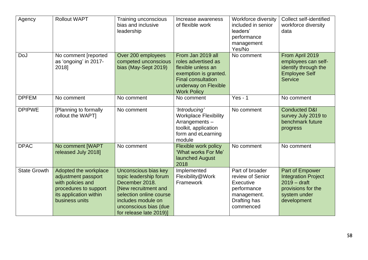| Agency              | Rollout WAPT                                                                                                                           | Training unconscious<br>bias and inclusive<br>leadership                                                                                                                                      | Increase awareness<br>of flexible work                                                                                                                             | <b>Workforce diversity</b><br>included in senior<br>leaders'<br>performance<br>management<br>Yes/No         | <b>Collect self-identified</b><br>workforce diversity<br>data                                                         |
|---------------------|----------------------------------------------------------------------------------------------------------------------------------------|-----------------------------------------------------------------------------------------------------------------------------------------------------------------------------------------------|--------------------------------------------------------------------------------------------------------------------------------------------------------------------|-------------------------------------------------------------------------------------------------------------|-----------------------------------------------------------------------------------------------------------------------|
| DoJ                 | No comment [reported<br>as 'ongoing' in 2017-<br>2018]                                                                                 | Over 200 employees<br>competed unconscious<br>bias (May-Sept 2019)                                                                                                                            | From Jan 2019 all<br>roles advertised as<br>flexible unless an<br>exemption is granted.<br><b>Final consultation</b><br>underway on Flexible<br><b>Work Policy</b> | No comment                                                                                                  | From April 2019<br>employees can self-<br>identify through the<br><b>Employee Self</b><br><b>Service</b>              |
| <b>DPFEM</b>        | No comment                                                                                                                             | No comment                                                                                                                                                                                    | No comment                                                                                                                                                         | $Yes - 1$                                                                                                   | No comment                                                                                                            |
| <b>DPIPWE</b>       | [Planning to formally<br>rollout the WAPT]                                                                                             | No comment                                                                                                                                                                                    | 'Introducing'<br><b>Workplace Flexibility</b><br>Arrangements-<br>toolkit, application<br>form and eLearning<br>module                                             | No comment                                                                                                  | <b>Conducted D&amp;I</b><br>survey July 2019 to<br>benchmark future<br>progress                                       |
| <b>DPAC</b>         | No comment [WAPT<br>released July 2018]                                                                                                | No comment                                                                                                                                                                                    | Flexible work policy<br>'What works For Me'<br>launched August<br>2018                                                                                             | No comment                                                                                                  | No comment                                                                                                            |
| <b>State Growth</b> | Adopted the workplace<br>adjustment passport<br>with policies and<br>procedures to support<br>its application within<br>business units | Unconscious bias key<br>topic leadership forum<br>December 2018.<br>[New recruitment and<br>selection online course<br>includes module on<br>unconscious bias (due<br>for release late 2019)] | Implemented<br>Flexibility@Work<br>Framework                                                                                                                       | Part of broader<br>review of Senior<br>Executive<br>performance<br>management.<br>Drafting has<br>commenced | Part of Empower<br><b>Integration Project</b><br>$2019 - dr$ aft<br>provisions for the<br>system under<br>development |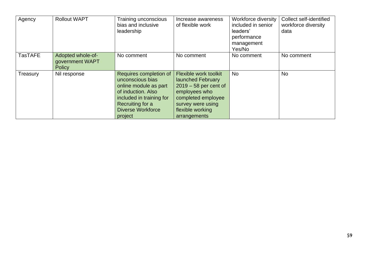| Agency         | <b>Rollout WAPT</b>                                   | Training unconscious<br>bias and inclusive<br>leadership                                                                                                                         | Increase awareness<br>of flexible work                                                                                                                                       | <b>Workforce diversity</b><br>included in senior<br>leaders'<br>performance<br>management<br>Yes/No | Collect self-identified<br>workforce diversity<br>data |
|----------------|-------------------------------------------------------|----------------------------------------------------------------------------------------------------------------------------------------------------------------------------------|------------------------------------------------------------------------------------------------------------------------------------------------------------------------------|-----------------------------------------------------------------------------------------------------|--------------------------------------------------------|
| <b>TasTAFE</b> | Adopted whole-of-<br>government WAPT<br><b>Policy</b> | No comment                                                                                                                                                                       | No comment                                                                                                                                                                   | No comment                                                                                          | No comment                                             |
| Treasury       | Nil response                                          | Requires completion of<br>unconscious bias<br>online module as part<br>of induction. Also<br>included in training for<br>Recruiting for a<br><b>Diverse Workforce</b><br>project | <b>Flexible work toolkit</b><br>launched February<br>$2019 - 58$ per cent of<br>employees who<br>completed employee<br>survey were using<br>flexible working<br>arrangements | <b>No</b>                                                                                           | <b>No</b>                                              |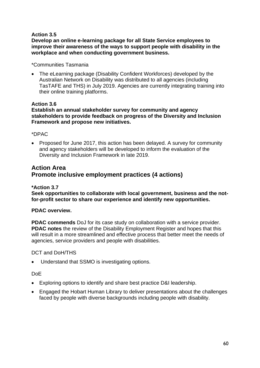# **Action 3.5**

**Develop an online e-learning package for all State Service employees to improve their awareness of the ways to support people with disability in the workplace and when conducting government business.** 

\*Communities Tasmania

• The eLearning package (Disability Confident Workforces) developed by the Australian Network on Disability was distributed to all agencies (including TasTAFE and THS) in July 2019. Agencies are currently integrating training into their online training platforms.

#### **Action 3.6**

**Establish an annual stakeholder survey for community and agency stakeholders to provide feedback on progress of the Diversity and Inclusion Framework and propose new initiatives.**

#### \*DPAC

• Proposed for June 2017, this action has been delayed. A survey for community and agency stakeholders will be developed to inform the evaluation of the Diversity and Inclusion Framework in late 2019.

# **Action Area Promote inclusive employment practices (4 actions)**

#### **\*Action 3.7**

**Seek opportunities to collaborate with local government, business and the notfor-profit sector to share our experience and identify new opportunities.**

#### **PDAC overview.**

**PDAC commends** DoJ for its case study on collaboration with a service provider. **PDAC notes** the review of the Disability Employment Register and hopes that this will result in a more streamlined and effective process that better meet the needs of agencies, service providers and people with disabilities.

DCT and DoH/THS

• Understand that SSMO is investigating options.

#### DoE

- Exploring options to identify and share best practice D&I leadership.
- Engaged the Hobart Human Library to deliver presentations about the challenges faced by people with diverse backgrounds including people with disability.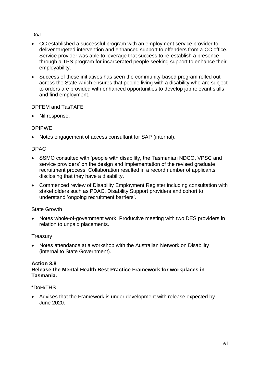### DoJ

- CC established a successful program with an employment service provider to deliver targeted intervention and enhanced support to offenders from a CC office. Service provider was able to leverage that success to re-establish a presence through a TPS program for incarcerated people seeking support to enhance their employability.
- Success of these initiatives has seen the community-based program rolled out across the State which ensures that people living with a disability who are subject to orders are provided with enhanced opportunities to develop job relevant skills and find employment.

### DPFEM and TasTAFE

• Nil response.

# DPIPWE

• Notes engagement of access consultant for SAP (internal).

# DPAC

- SSMO consulted with 'people with disability, the Tasmanian NDCO, VPSC and service providers' on the design and implementation of the revised graduate recruitment process. Collaboration resulted in a record number of applicants disclosing that they have a disability.
- Commenced review of Disability Employment Register including consultation with stakeholders such as PDAC, Disability Support providers and cohort to understand 'ongoing recruitment barriers'.

### State Growth

• Notes whole-of-government work. Productive meeting with two DES providers in relation to unpaid placements.

### **Treasury**

• Notes attendance at a workshop with the Australian Network on Disability (internal to State Government).

### **Action 3.8**

#### **Release the Mental Health Best Practice Framework for workplaces in Tasmania.**

### \*DoH/THS

• Advises that the Framework is under development with release expected by June 2020.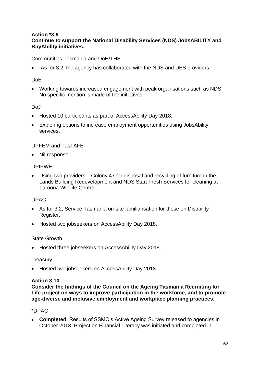# **Action \*3.9**

# **Continue to support the National Disability Services (NDS) JobsABILITY and BuyAbility initiatives.**

# Communities Tasmania and DoH/THS

• As for 3.2, the agency has collaborated with the NDS and DES providers.

### DoE

• Working towards increased engagement with peak organisations such as NDS. No specific mention is made of the initiatives.

### DoJ

- Hosted 10 participants as part of AccessAbility Day 2018.
- Exploring options to increase employment opportunities using JobsAbility services.

### DPFEM and TasTAFE

• Nil response.

# DPIPWE

• Using two providers – Colony 47 for disposal and recycling of furniture in the Lands Building Redevelopment and NDS Start Fresh Services for cleaning at Taroona Wildlife Centre.

### DPAC

- As for 3.2, Service Tasmania on-site familiarisation for those on Disability Register.
- Hosted two jobseekers on AccessAbility Day 2018.

### State Growth

• Hosted three jobseekers on AccessAbility Day 2018.

### **Treasury**

• Hosted two jobseekers on AccessAbility Day 2018.

#### **Action 3.10**

**Consider the findings of the Council on the Ageing Tasmania Recruiting for Life project on ways to improve participation in the workforce, and to promote age-diverse and inclusive employment and workplace planning practices.**

### **\***DPAC

• **Completed**. Results of SSMO's Active Ageing Survey released to agencies in October 2018. Project on Financial Literacy was initiated and completed in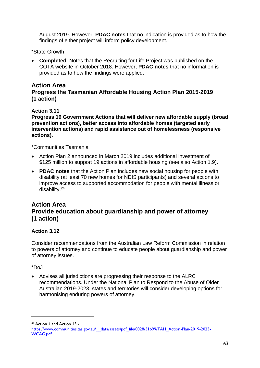August 2019. However, **PDAC notes** that no indication is provided as to how the findings of either project will inform policy development.

\*State Growth

• **Completed**. Notes that the Recruiting for Life Project was published on the COTA website in October 2018. However, **PDAC notes** that no information is provided as to how the findings were applied.

# **Action Area**

**Progress the Tasmanian Affordable Housing Action Plan 2015-2019 (1 action)**

# **Action 3.11**

**Progress 19 Government Actions that will deliver new affordable supply (broad prevention actions), better access into affordable homes (targeted early intervention actions) and rapid assistance out of homelessness (responsive actions).**

\*Communities Tasmania

- Action Plan 2 announced in March 2019 includes additional investment of \$125 million to support 19 actions in affordable housing (see also Action 1.9).
- **PDAC notes** that the Action Plan includes new social housing for people with disability (at least 70 new homes for NDIS participants) and several actions to improve access to supported accommodation for people with mental illness or disability.<sup>24</sup>

# **Action Area Provide education about guardianship and power of attorney (1 action)**

# **Action 3.12**

Consider recommendations from the Australian Law Reform Commission in relation to powers of attorney and continue to educate people about guardianship and power of attorney issues.

 $*$ DoJ

• Advises all jurisdictions are progressing their response to the ALRC recommendations. Under the National Plan to Respond to the Abuse of Older Australian 2019-2023, states and territories will consider developing options for harmonising enduring powers of attorney.

 $24$  Action 4 and Action 15 -

https://www.communities.tas.gov.au/ data/assets/pdf\_file/0028/31699/TAH\_Action-Plan-2019-2023-[WCAG.pdf](https://www.communities.tas.gov.au/__data/assets/pdf_file/0028/31699/TAH_Action-Plan-2019-2023-WCAG.pdf)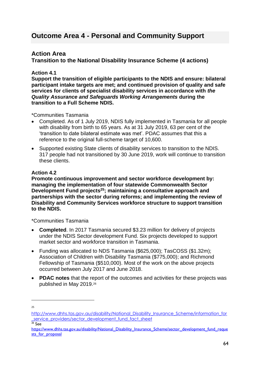# **Outcome Area 4 - Personal and Community Support**

# **Action Area**

**Transition to the National Disability Insurance Scheme (4 actions)**

#### **Action 4.1**

**Support the transition of eligible participants to the NDIS and ensure: bilateral participant intake targets are met; and continued provision of quality and safe services for clients of specialist disability services in accordance with** *the Quality Assurance and Safeguards Working Arrangements* **during the transition to a Full Scheme NDIS.**

\*Communities Tasmania

- Completed. As of 1 July 2019, NDIS fully implemented in Tasmania for all people with disability from birth to 65 years. As at 31 July 2019, 63 per cent of the 'transition to date bilateral estimate was met'. PDAC assumes that this a reference to the original full-scheme target of 10,600.
- Supported existing State clients of disability services to transition to the NDIS. 317 people had not transitioned by 30 June 2019, work will continue to transition these clients.

#### **Action 4.2**

**Promote continuous improvement and sector workforce development by: managing the implementation of four statewide Commonwealth Sector Development Fund projects<sup>25</sup>; maintaining a consultative approach and partnerships with the sector during reforms; and implementing the review of Disability and Community Services workforce structure to support transition to the NDIS.**

\*Communities Tasmania

- **Completed**. In 2017 Tasmania secured \$3.23 million for delivery of projects under the NDIS Sector development Fund. Six projects developed to support market sector and workforce transition in Tasmania.
- Funding was allocated to NDS Tasmania (\$625,000); TasCOSS (\$1.32m); Association of Children with Disability Tasmania (\$775,000); and Richmond Fellowship of Tasmania (\$510,000). Most of the work on the above projects occurred between July 2017 and June 2018.
- **PDAC notes** that the report of the outcomes and activities for these projects was published in May 2019.<sup>26</sup>

 $26$  See

 $25$ 

[http://www.dhhs.tas.gov.au/disability/National\\_Disability\\_Insurance\\_Scheme/information\\_for](http://www.dhhs.tas.gov.au/disability/National_Disability_Insurance_Scheme/information_for_service_providers/sector_development_fund_fact_sheet) service\_providers/sector\_development\_fund\_fact\_sheet

[https://www.dhhs.tas.gov.au/disability/National\\_Disability\\_Insurance\\_Scheme/sector\\_development\\_fund\\_reque](https://www.dhhs.tas.gov.au/disability/National_Disability_Insurance_Scheme/sector_development_fund_requests_for_proposal) sts for proposal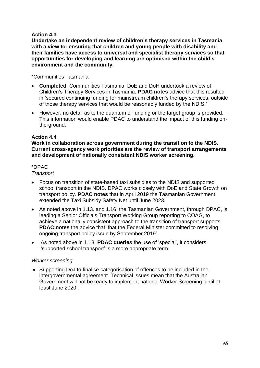# **Action 4.3**

**Undertake an independent review of children's therapy services in Tasmania with a view to: ensuring that children and young people with disability and their families have access to universal and specialist therapy services so that opportunities for developing and learning are optimised within the child's environment and the community.**

#### \*Communities Tasmania

- **Completed**. Communities Tasmania, DoE and DoH undertook a review of Children's Therapy Services in Tasmania. **PDAC notes** advice that this resulted in 'secured continuing funding for mainstream children's therapy services, outside of those therapy services that would be reasonably funded by the NDIS.'
- However, no detail as to the quantum of funding or the target group is provided. This information would enable PDAC to understand the impact of this funding onthe-ground.

### **Action 4.4**

**Work in collaboration across government during the transition to the NDIS. Current cross-agency work priorities are the review of transport arrangements and development of nationally consistent NDIS worker screening.**

#### \*DPAC

#### *Transport*

- Focus on transition of state-based taxi subsidies to the NDIS and supported school transport in the NDIS. DPAC works closely with DoE and State Growth on transport policy. **PDAC notes** that in April 2019 the Tasmanian Government extended the Taxi Subsidy Safety Net until June 2023.
- As noted above in 1.13. and 1.16, the Tasmanian Government, through DPAC, is leading a Senior Officials Transport Working Group reporting to COAG, to achieve a nationally consistent approach to the transition of transport supports. **PDAC notes** the advice that 'that the Federal Minister committed to resolving ongoing transport policy issue by September 2019'.
- As noted above in 1.13, **PDAC queries** the use of 'special', it considers 'supported school transport' is a more appropriate term

#### *Worker screening*

• Supporting DoJ to finalise categorisation of offences to be included in the intergovernmental agreement. Technical issues mean that the Australian Government will not be ready to implement national Worker Screening 'until at least June 2020'.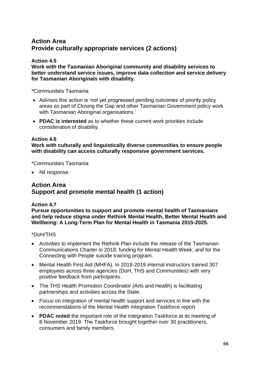# **Action Area Provide culturally appropriate services (2 actions)**

#### **Action 4.5**

**Work with the Tasmanian Aboriginal community and disability services to better understand service issues, improve data collection and service delivery for Tasmanian Aboriginals with disability.**

\*Communities Tasmania

- Advises this action is 'not yet progressed pending outcomes of priority policy areas as part of Closing the Gap and other Tasmanian Government policy work with Tasmanian Aboriginal organisations.'
- **PDAC is interested** as to whether these current work priorities include consideration of disability.

#### **Action 4.6**

**Work with culturally and linguistically diverse communities to ensure people with disability can access culturally responsive government services.**

\*Communities Tasmania

• Nil response.

# **Action Area Support and promote mental health (1 action)**

### **Action 4.7**

**Pursue opportunities to support and promote mental health of Tasmanians and help reduce stigma under Rethink Mental Health, Better Mental Health and Wellbeing: A Long-Term Plan for Mental Health in Tasmania 2015-2025.**

### \*DoH/THS

- Activities to implement the Rethink Plan include the release of the Tasmanian Communications Charter in 2018; funding for Mental Health Week; and for the Connecting with People suicide training program.
- Mental Health First Aid (MHFA). In 2018-2019 internal instructors trained 307 employees across three agencies (DoH, THS and Communities) with very positive feedback from participants.
- The THS Health Promotion Coordinator (Arts and Health) is facilitating partnerships and activities across the State.
- Focus on integration of mental health support and services in line with the recommendations of the Mental Health Integration Taskforce report.
- **PDAC noted** the important role of the Integration Taskforce at its meeting of 8 November 2019. The Taskforce brought together over 30 practitioners, consumers and family members.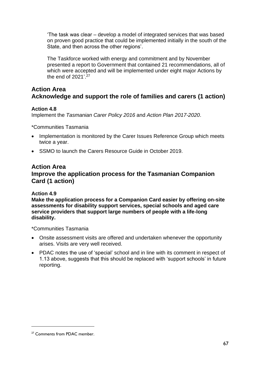'The task was clear – develop a model of integrated services that was based on proven good practice that could be implemented initially in the south of the State, and then across the other regions'.

The Taskforce worked with energy and commitment and by November presented a report to Government that contained 21 recommendations, all of which were accepted and will be implemented under eight major Actions by the end of  $2021'$ .<sup>27</sup>

# **Action Area Acknowledge and support the role of families and carers (1 action)**

# **Action 4.8**

Implement the *Tasmanian Carer Policy 2016* and *Action Plan 2017-2020*.

\*Communities Tasmania

- Implementation is monitored by the Carer Issues Reference Group which meets twice a year.
- SSMO to launch the Carers Resource Guide in October 2019.

# **Action Area Improve the application process for the Tasmanian Companion Card (1 action)**

### **Action 4.9**

**Make the application process for a Companion Card easier by offering on-site assessments for disability support services, special schools and aged care service providers that support large numbers of people with a life-long disability.**

\*Communities Tasmania

- Onsite assessment visits are offered and undertaken whenever the opportunity arises. Visits are very well received.
- PDAC notes the use of 'special' school and in line with its comment in respect of 1.13 above, suggests that this should be replaced with 'support schools' in future reporting.

<sup>&</sup>lt;sup>27</sup> Comments from PDAC member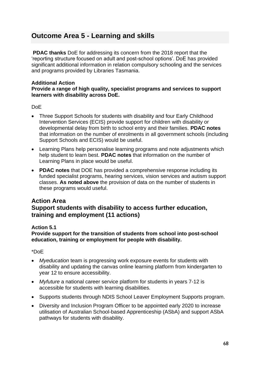# **Outcome Area 5 - Learning and skills**

**PDAC thanks** DoE for addressing its concern from the 2018 report that the 'reporting structure focused on adult and post-school options'. DoE has provided significant additional information in relation compulsory schooling and the services and programs provided by Libraries Tasmania.

#### **Additional Action**

#### **Provide a range of high quality, specialist programs and services to support learners with disability across DoE.**

#### DoE

- Three Support Schools for students with disability and four Early Childhood Intervention Services (ECIS) provide support for children with disability or developmental delay from birth to school entry and their families. **PDAC notes** that information on the number of enrolments in all government schools (including Support Schools and ECIS) would be useful.
- Learning Plans help personalise learning programs and note adjustments which help student to learn best. **PDAC notes** that information on the number of Learning Plans in place would be useful.
- **PDAC notes** that DOE has provided a comprehensive response including its funded specialist programs, hearing services, vision services and autism support classes. **As noted above** the provision of data on the number of students in these programs would useful.

### **Action Area**

# **Support students with disability to access further education, training and employment (11 actions)**

#### **Action 5.1**

**Provide support for the transition of students from school into post-school education, training or employment for people with disability.**

#### \*DoE

- *Myeducation* team is progressing work exposure events for students with disability and updating the canvas online learning platform from kindergarten to year 12 to ensure accessibility.
- *Myfuture* a national career service platform for students in years 7-12 is accessible for students with learning disabilities*.*
- Supports students through NDIS School Leaver Employment Supports program.
- Diversity and Inclusion Program Officer to be appointed early 2020 to increase utilisation of Australian School-based Apprenticeship (ASbA) and support ASbA pathways for students with disability.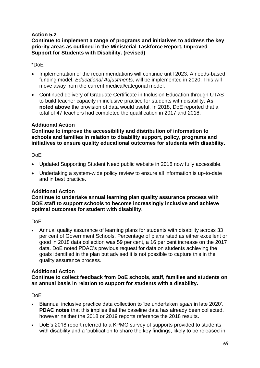# **Action 5.2**

**Continue to implement a range of programs and initiatives to address the key priority areas as outlined in the Ministerial Taskforce Report, Improved Support for Students with Disability. (revised)**

# \*DoE

- Implementation of the recommendations will continue until 2023. A needs-based funding model, *Educational Adjustments,* will be implemented in 2020. This will move away from the current medical/categorial model.
- Continued delivery of Graduate Certificate in Inclusion Education through UTAS to build teacher capacity in inclusive practice for students with disability. **As noted above** the provision of data would useful. In 2018, DoE reported that a total of 47 teachers had completed the qualification in 2017 and 2018.

### **Additional Action**

**Continue to improve the accessibility and distribution of information to schools and families in relation to disability support, policy, programs and initiatives to ensure quality educational outcomes for students with disability.**

# DoE

- Updated Supporting Student Need public website in 2018 now fully accessible.
- Undertaking a system-wide policy review to ensure all information is up-to-date and in best practice.

# **Additional Action**

**Continue to undertake annual learning plan quality assurance process with DOE staff to support schools to become increasingly inclusive and achieve optimal outcomes for student with disability.**

# DoE

• Annual quality assurance of learning plans for students with disability across 33 per cent of Government Schools. Percentage of plans rated as either excellent or good in 2018 data collection was 59 per cent, a 16 per cent increase on the 2017 data. DoE noted PDAC's previous request for data on students achieving the goals identified in the plan but advised it is not possible to capture this in the quality assurance process.

### **Additional Action**

**Continue to collect feedback from DoE schools, staff, families and students on an annual basis in relation to support for students with a disability.**

### DoE

- Biannual inclusive practice data collection to 'be undertaken *again* in late 2020'. **PDAC notes** that this implies that the baseline data has already been collected, however neither the 2018 or 2019 reports reference the 2018 results.
- DoE's 2018 report referred to a KPMG survey of supports provided to students with disability and a 'publication to share the key findings, likely to be released in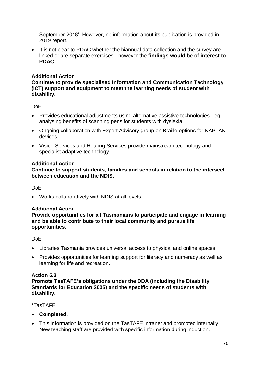September 2018'. However, no information about its publication is provided in 2019 report.

• It is not clear to PDAC whether the biannual data collection and the survey are linked or are separate exercises - however the **findings would be of interest to PDAC**.

### **Additional Action**

**Continue to provide specialised Information and Communication Technology (ICT) support and equipment to meet the learning needs of student with disability.**

#### DoE

- Provides educational adjustments using alternative assistive technologies eg analysing benefits of scanning pens for students with dyslexia.
- Ongoing collaboration with Expert Advisory group on Braille options for NAPLAN devices.
- Vision Services and Hearing Services provide mainstream technology and specialist adaptive technology

#### **Additional Action**

**Continue to support students, families and schools in relation to the intersect between education and the NDIS.**

#### DoE

• Works collaboratively with NDIS at all levels.

#### **Additional Action**

**Provide opportunities for all Tasmanians to participate and engage in learning and be able to contribute to their local community and pursue life opportunities.**

### DoE

- Libraries Tasmania provides universal access to physical and online spaces.
- Provides opportunities for learning support for literacy and numeracy as well as learning for life and recreation.

### **Action 5.3**

**Promote TasTAFE's obligations under the DDA (including the Disability Standards for Education 2005) and the specific needs of students with disability.** 

#### \*TasTAFE

- **Completed.**
- This information is provided on the TasTAFE intranet and promoted internally. New teaching staff are provided with specific information during induction.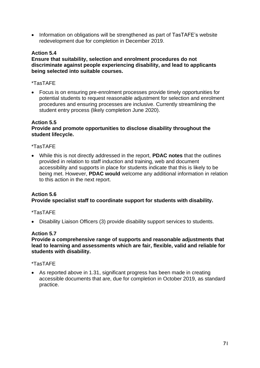• Information on obligations will be strengthened as part of TasTAFE's website redevelopment due for completion in December 2019.

### **Action 5.4**

**Ensure that suitability, selection and enrolment procedures do not discriminate against people experiencing disability, and lead to applicants being selected into suitable courses.**

#### \*TasTAFE

• Focus is on ensuring pre-enrolment processes provide timely opportunities for potential students to request reasonable adjustment for selection and enrolment procedures and ensuring processes are inclusive. Currently streamlining the student entry process (likely completion June 2020).

#### **Action 5.5**

#### **Provide and promote opportunities to disclose disability throughout the student lifecycle.**

#### \*TasTAFE

• While this is not directly addressed in the report, **PDAC notes** that the outlines provided in relation to staff induction and training, web and document accessibility and supports in place for students indicate that this is likely to be being met. However, **PDAC would** welcome any additional information in relation to this action in the next report.

#### **Action 5.6 Provide specialist staff to coordinate support for students with disability.**

#### \*TasTAFE

• Disability Liaison Officers (3) provide disability support services to students.

#### **Action 5.7**

**Provide a comprehensive range of supports and reasonable adjustments that lead to learning and assessments which are fair, flexible, valid and reliable for students with disability.**

#### \*TasTAFE

• As reported above in 1.31, significant progress has been made in creating accessible documents that are, due for completion in October 2019, as standard practice.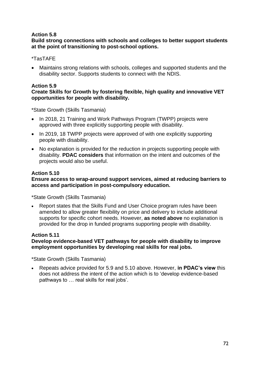# **Action 5.8**

#### **Build strong connections with schools and colleges to better support students at the point of transitioning to post-school options.**

### \*TasTAFE

• Maintains strong relations with schools, colleges and supported students and the disability sector. Supports students to connect with the NDIS.

### **Action 5.9**

#### **Create Skills for Growth by fostering flexible, high quality and innovative VET opportunities for people with disability.**

\*State Growth (Skills Tasmania)

- In 2018, 21 Training and Work Pathways Program (TWPP) projects were approved with three explicitly supporting people with disability.
- In 2019, 18 TWPP projects were approved of with one explicitly supporting people with disability.
- No explanation is provided for the reduction in projects supporting people with disability. **PDAC considers** that information on the intent and outcomes of the projects would also be useful.

### **Action 5.10**

### **Ensure access to wrap-around support services, aimed at reducing barriers to access and participation in post-compulsory education.**

\*State Growth (Skills Tasmania)

• Report states that the Skills Fund and User Choice program rules have been amended to allow greater flexibility on price and delivery to include additional supports for specific cohort needs. However, **as noted above** no explanation is provided for the drop in funded programs supporting people with disability.

### **Action 5.11**

### **Develop evidence-based VET pathways for people with disability to improve employment opportunities by developing real skills for real jobs.**

\*State Growth (Skills Tasmania)

• Repeats advice provided for 5.9 and 5.10 above. However, **in PDAC's view** this does not address the intent of the action which is to 'develop evidence-based pathways to … real skills for real jobs'.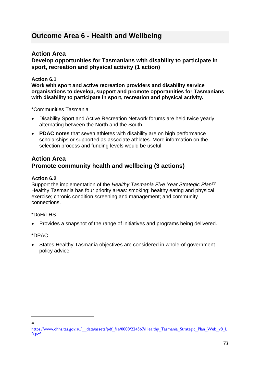# **Outcome Area 6 - Health and Wellbeing**

# **Action Area**

**Develop opportunities for Tasmanians with disability to participate in sport, recreation and physical activity (1 action)**

## **Action 6.1**

**Work with sport and active recreation providers and disability service organisations to develop, support and promote opportunities for Tasmanians with disability to participate in sport, recreation and physical activity.**

\*Communities Tasmania

- Disability Sport and Active Recreation Network forums are held twice yearly alternating between the North and the South.
- **PDAC notes** that seven athletes with disability are on high performance scholarships or supported as associate athletes. More information on the selection process and funding levels would be useful.

## **Action Area Promote community health and wellbeing (3 actions)**

## **Action 6.2**

Support the implementation of the *Healthy Tasmania Five Year Strategic Plan<sup>28</sup>* Healthy Tasmania has four priority areas: smoking; healthy eating and physical exercise; chronic condition screening and management; and community connections.

## \*DoH/THS

• Provides a snapshot of the range of initiatives and programs being delivered.

## \*DPAC

• States Healthy Tasmania objectives are considered in whole-of-government policy advice.

 $28$ 

https://www.dhhs.tas.gov.au/ data/assets/pdf file/0008/224567/Healthy Tasmania Strategic Plan Web v8 L [R.pdf](https://www.dhhs.tas.gov.au/__data/assets/pdf_file/0008/224567/Healthy_Tasmania_Strategic_Plan_Web_v8_LR.pdf)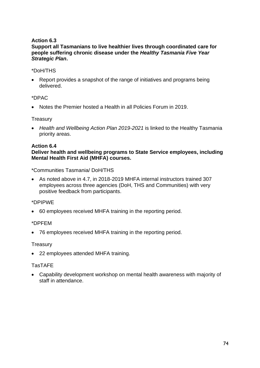## **Action 6.3**

## **Support all Tasmanians to live healthier lives through coordinated care for people suffering chronic disease under the** *Healthy Tasmania Five Year Strategic Plan***.**

## \*DoH/THS

• Report provides a snapshot of the range of initiatives and programs being delivered.

## \*DPAC

• Notes the Premier hosted a Health in all Policies Forum in 2019.

## **Treasury**

• *Health and Wellbeing Action Plan 2019-2021* is linked to the Healthy Tasmania priority areas.

## **Action 6.4**

#### **Deliver health and wellbeing programs to State Service employees, including Mental Health First Aid (MHFA) courses.**

\*Communities Tasmania/ DoH/THS

• As noted above in 4.7, in 2018-2019 MHFA internal instructors trained 307 employees across three agencies (DoH, THS and Communities) with very positive feedback from participants.

## \*DPIPWE

• 60 employees received MHFA training in the reporting period.

## \*DPFEM

• 76 employees received MHFA training in the reporting period.

#### **Treasury**

• 22 employees attended MHFA training.

## TasTAFE

• Capability development workshop on mental health awareness with majority of staff in attendance.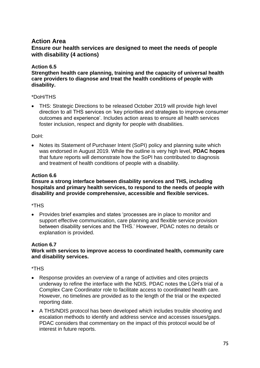# **Action Area**

**Ensure our health services are designed to meet the needs of people with disability (4 actions)**

## **Action 6.5**

**Strengthen health care planning, training and the capacity of universal health care providers to diagnose and treat the health conditions of people with disability.**

## \*DoH/THS

• THS: Strategic Directions to be released October 2019 will provide high level direction to all THS services on 'key priorities and strategies to improve consumer outcomes and experience'. Includes action areas to ensure all health services foster inclusion, respect and dignity for people with disabilities.

## DoH:

• Notes its Statement of Purchaser Intent (SoPI) policy and planning suite which was endorsed in August 2019. While the outline is very high level, **PDAC hopes** that future reports will demonstrate how the SoPI has contributed to diagnosis and treatment of health conditions of people with a disability.

## **Action 6.6**

#### **Ensure a strong interface between disability services and THS, including hospitals and primary health services, to respond to the needs of people with disability and provide comprehensive, accessible and flexible services.**

#### \*THS

• Provides brief examples and states 'processes are in place to monitor and support effective communication, care planning and flexible service provision between disability services and the THS.' However, PDAC notes no details or explanation is provided.

#### **Action 6.7**

#### **Work with services to improve access to coordinated health, community care and disability services.**

#### \*THS

- Response provides an overview of a range of activities and cites projects underway to refine the interface with the NDIS. PDAC notes the LGH's trial of a Complex Care Coordinator role to facilitate access to coordinated health care. However, no timelines are provided as to the length of the trial or the expected reporting date.
- A THS/NDIS protocol has been developed which includes trouble shooting and escalation methods to identify and address service and accesses issues/gaps. PDAC considers that commentary on the impact of this protocol would be of interest in future reports.